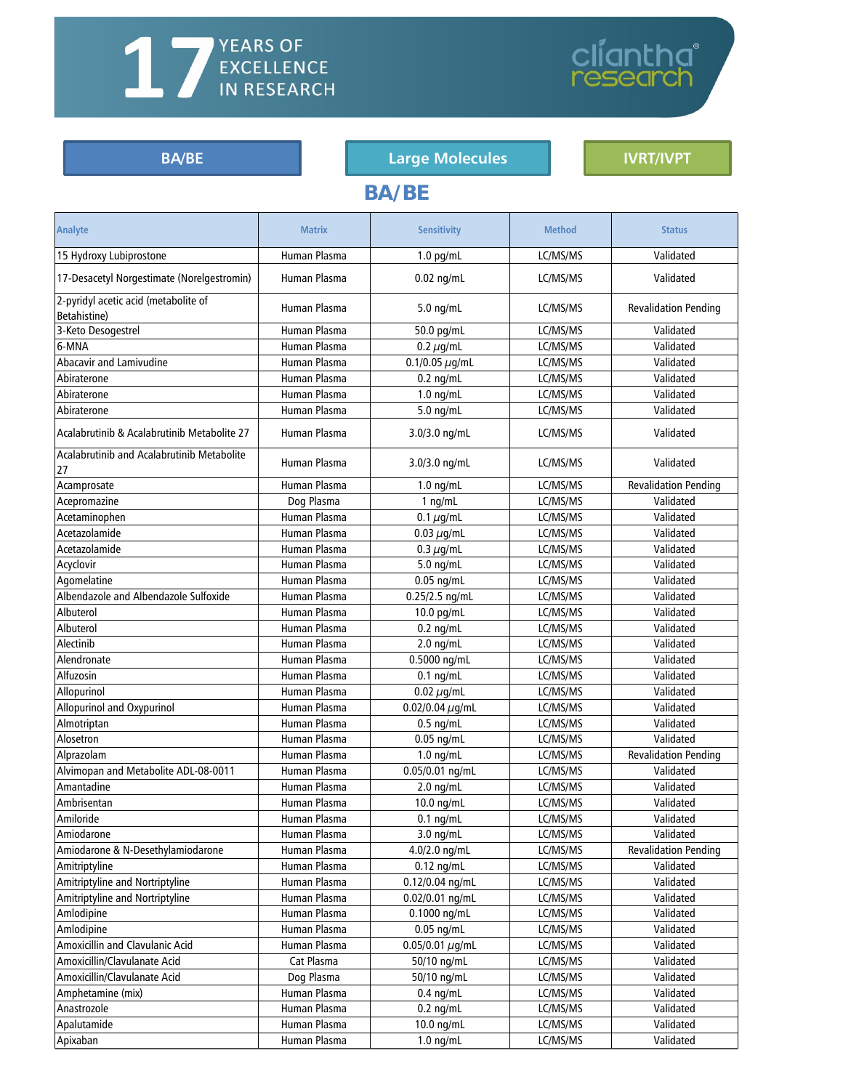# <span id="page-0-0"></span>**Available Assays**

#### BA/BE **Example 2018** Large [Molecules](#page-11-0) **[IVRT/IVPT](#page-13-0)**

**BA/BE**

cliantha<sup>®</sup><br>research

## **Analyte Matrix Sensitivity Method Status** 15 Hydroxy Lubiprostone **Human Plasma** 2.0 pg/mL LC/MS/MS Validated 17-Desacetyl Norgestimate (Norelgestromin) | Human Plasma | 0.02 ng/mL | LC/MS/MS | Validated 2-pyridyl acetic acid (metabolite of Betahistine) Human Plasma 5.0 ng/mL LC/MS/MS Revalidation Pending 3-Keto Desogestrel **Human Plasma** | 50.0 pg/mL | LC/MS/MS | Validated 6-MNA Human Plasma 0.2 µg/mL LC/MS/MS Validated Abacavir and Lamivudine  $\vert$  Human Plasma  $\vert$  0.1/0.05  $\mu$ g/mL  $\vert$  LC/MS/MS  $\vert$  Validated Abiraterone Human Plasma 0.2 ng/mL LC/MS/MS Validated Abiraterone Human Plasma 1.0 ng/mL LC/MS/MS Validated Abiraterone Human Plasma 5.0 ng/mL LC/MS/MS Validated Acalabrutinib & Acalabrutinib Metabolite 27 | Human Plasma | 3.0/3.0 ng/mL | LC/MS/MS | Validated Acalabrutinib and Acalabrutinib Metabolite Acadabratimb and Acadabratimb Mccabonce | Human Plasma | 3.0/3.0 ng/mL | LC/MS/MS | Validated Acamprosate **Human Plasma** 1.0 ng/mL LC/MS/MS Revalidation Pending Acepromazine Dog Plasma 1 ng/mL LC/MS/MS Validated Acetaminophen Human Plasma 0.1 µg/mL LC/MS/MS Validated Acetazolamide Human Plasma 0.03 µg/mL LC/MS/MS Validated Acetazolamide Human Plasma 0.3 µg/mL LC/MS/MS Validated Acyclovir **Human Plasma** | 5.0 ng/mL | LC/MS/MS | Validated Agomelatine Human Plasma 0.05 ng/mL LC/MS/MS Validated Albendazole and Albendazole Sulfoxide | Human Plasma | 0.25/2.5 ng/mL | LC/MS/MS | Validated Albuterol Human Plasma 10.0 pg/mL LC/MS/MS Validated Albuterol Human Plasma 0.2 ng/mL LC/MS/MS Validated Alectinib Human Plasma 2.0 ng/mL LC/MS/MS Validated

| Alendronate                          | Human Plasma | 0.5000 ng/mL         | LC/MS/MS | Validated                   |
|--------------------------------------|--------------|----------------------|----------|-----------------------------|
| Alfuzosin                            | Human Plasma | $0.1$ ng/mL          | LC/MS/MS | Validated                   |
| Allopurinol                          | Human Plasma | $0.02 \mu$ g/mL      | LC/MS/MS | Validated                   |
| Allopurinol and Oxypurinol           | Human Plasma | 0.02/0.04 $\mu$ g/mL | LC/MS/MS | Validated                   |
| Almotriptan                          | Human Plasma | $0.5$ ng/mL          | LC/MS/MS | Validated                   |
| Alosetron                            | Human Plasma | $0.05$ ng/mL         | LC/MS/MS | Validated                   |
| Alprazolam                           | Human Plasma | $1.0$ ng/mL          | LC/MS/MS | <b>Revalidation Pending</b> |
| Alvimopan and Metabolite ADL-08-0011 | Human Plasma | $0.05/0.01$ ng/mL    | LC/MS/MS | Validated                   |
| Amantadine                           | Human Plasma | $2.0$ ng/mL          | LC/MS/MS | Validated                   |
| Ambrisentan                          | Human Plasma | 10.0 ng/mL           | LC/MS/MS | Validated                   |
| Amiloride                            | Human Plasma | $0.1$ ng/mL          | LC/MS/MS | Validated                   |
| Amiodarone                           | Human Plasma | $3.0$ ng/mL          | LC/MS/MS | Validated                   |
| Amiodarone & N-Desethylamiodarone    | Human Plasma | 4.0/2.0 ng/mL        | LC/MS/MS | <b>Revalidation Pending</b> |
| Amitriptyline                        | Human Plasma | $0.12$ ng/mL         | LC/MS/MS | Validated                   |
| Amitriptyline and Nortriptyline      | Human Plasma | $0.12/0.04$ ng/mL    | LC/MS/MS | Validated                   |
| Amitriptyline and Nortriptyline      | Human Plasma | 0.02/0.01 ng/mL      | LC/MS/MS | Validated                   |
| Amlodipine                           | Human Plasma | 0.1000 ng/mL         | LC/MS/MS | Validated                   |
| Amlodipine                           | Human Plasma | $0.05$ ng/mL         | LC/MS/MS | Validated                   |
| Amoxicillin and Clavulanic Acid      | Human Plasma | 0.05/0.01 $\mu$ g/mL | LC/MS/MS | Validated                   |
| Amoxicillin/Clavulanate Acid         | Cat Plasma   | 50/10 ng/mL          | LC/MS/MS | Validated                   |
| Amoxicillin/Clavulanate Acid         | Dog Plasma   | 50/10 ng/mL          | LC/MS/MS | Validated                   |
| Amphetamine (mix)                    | Human Plasma | $0.4$ ng/mL          | LC/MS/MS | Validated                   |
| Anastrozole                          | Human Plasma | $0.2$ ng/mL          | LC/MS/MS | Validated                   |
| Apalutamide                          | Human Plasma | 10.0 ng/mL           | LC/MS/MS | Validated                   |
| Apixaban                             | Human Plasma | $1.0$ ng/mL          | LC/MS/MS | Validated                   |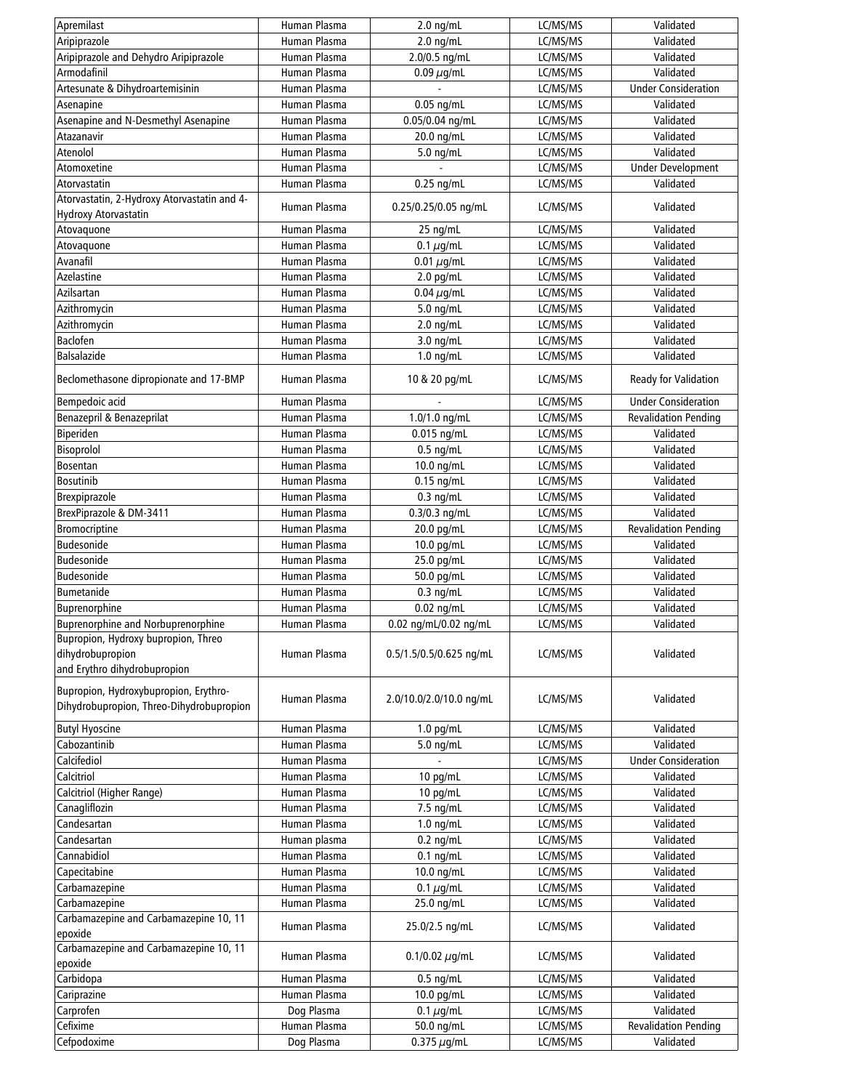| Apremilast                                                                        | Human Plasma                 | $2.0$ ng/mL                | LC/MS/MS             | Validated                   |
|-----------------------------------------------------------------------------------|------------------------------|----------------------------|----------------------|-----------------------------|
| Aripiprazole                                                                      | Human Plasma                 | $2.0$ ng/mL                | LC/MS/MS             | Validated                   |
| Aripiprazole and Dehydro Aripiprazole                                             | Human Plasma                 | 2.0/0.5 ng/mL              | LC/MS/MS             | Validated                   |
| Armodafinil                                                                       | Human Plasma                 | $0.09 \mu g/mL$            | LC/MS/MS             | Validated                   |
| Artesunate & Dihydroartemisinin                                                   | Human Plasma                 |                            | LC/MS/MS             | <b>Under Consideration</b>  |
| Asenapine                                                                         | Human Plasma                 | $0.05$ ng/mL               | LC/MS/MS             | Validated                   |
| Asenapine and N-Desmethyl Asenapine                                               | Human Plasma                 | 0.05/0.04 ng/mL            | LC/MS/MS             | Validated                   |
| Atazanavir                                                                        | Human Plasma                 | 20.0 ng/mL                 | LC/MS/MS             | Validated                   |
| Atenolol                                                                          | Human Plasma                 | 5.0 ng/mL                  | LC/MS/MS             | Validated                   |
| Atomoxetine                                                                       | Human Plasma                 |                            | LC/MS/MS             | <b>Under Development</b>    |
| Atorvastatin                                                                      | Human Plasma                 | $0.25$ ng/mL               | LC/MS/MS             | Validated                   |
| Atorvastatin, 2-Hydroxy Atorvastatin and 4-                                       | Human Plasma                 | 0.25/0.25/0.05 ng/mL       | LC/MS/MS             | Validated                   |
| Hydroxy Atorvastatin                                                              |                              |                            |                      |                             |
| Atovaquone                                                                        | Human Plasma                 | 25 ng/mL                   | LC/MS/MS             | Validated                   |
| Atovaquone                                                                        | Human Plasma                 | 0.1 $\mu$ g/mL             | LC/MS/MS             | Validated                   |
| Avanafil                                                                          | Human Plasma                 | 0.01 $\mu$ g/mL            | LC/MS/MS             | Validated                   |
| Azelastine                                                                        | Human Plasma                 | $2.0$ pg/mL                | LC/MS/MS             | Validated                   |
| Azilsartan                                                                        | Human Plasma                 | $0.04 \mu$ g/mL            | LC/MS/MS             | Validated                   |
| Azithromycin                                                                      | Human Plasma                 | 5.0 ng/mL                  | LC/MS/MS             | Validated                   |
| Azithromycin                                                                      | Human Plasma                 | $2.0$ ng/mL                | LC/MS/MS             | Validated                   |
| Baclofen<br><b>Balsalazide</b>                                                    | Human Plasma<br>Human Plasma | $3.0$ ng/mL<br>$1.0$ ng/mL | LC/MS/MS<br>LC/MS/MS | Validated<br>Validated      |
|                                                                                   |                              |                            |                      |                             |
| Beclomethasone dipropionate and 17-BMP                                            | Human Plasma                 | 10 & 20 pg/mL              | LC/MS/MS             | Ready for Validation        |
| Bempedoic acid                                                                    | Human Plasma                 |                            | LC/MS/MS             | <b>Under Consideration</b>  |
| Benazepril & Benazeprilat                                                         | Human Plasma                 | 1.0/1.0 ng/mL              | LC/MS/MS             | <b>Revalidation Pending</b> |
| Biperiden                                                                         | Human Plasma                 | 0.015 ng/mL                | LC/MS/MS             | Validated                   |
| Bisoprolol                                                                        | Human Plasma                 | $0.5$ ng/mL                | LC/MS/MS             | Validated                   |
| <b>Bosentan</b>                                                                   | Human Plasma                 | 10.0 ng/mL                 | LC/MS/MS             | Validated                   |
| <b>Bosutinib</b>                                                                  | Human Plasma                 | $0.15$ ng/mL               | LC/MS/MS             | Validated                   |
| Brexpiprazole                                                                     | Human Plasma                 | $0.3$ ng/mL                | LC/MS/MS             | Validated                   |
| BrexPiprazole & DM-3411                                                           | Human Plasma                 | 0.3/0.3 ng/mL              | LC/MS/MS             | Validated                   |
| Bromocriptine                                                                     | Human Plasma                 | 20.0 pg/mL                 | LC/MS/MS             | <b>Revalidation Pending</b> |
| <b>Budesonide</b>                                                                 | Human Plasma                 | 10.0 pg/mL                 | LC/MS/MS             | Validated                   |
| <b>Budesonide</b>                                                                 | Human Plasma                 | 25.0 pg/mL                 | LC/MS/MS             | Validated                   |
| Budesonide                                                                        | Human Plasma                 | 50.0 pg/mL                 | LC/MS/MS             | Validated                   |
| Bumetanide                                                                        | Human Plasma                 | $0.3$ ng/mL                | LC/MS/MS             | Validated                   |
| Buprenorphine                                                                     | Human Plasma                 | $0.02$ ng/mL               | LC/MS/MS             | Validated                   |
| <b>Buprenorphine and Norbuprenorphine</b><br>Bupropion, Hydroxy bupropion, Threo  | Human Plasma                 | 0.02 ng/mL/0.02 ng/mL      | LC/MS/MS             | Validated                   |
| dihydrobupropion<br>and Erythro dihydrobupropion                                  | Human Plasma                 | 0.5/1.5/0.5/0.625 ng/mL    | LC/MS/MS             | Validated                   |
| Bupropion, Hydroxybupropion, Erythro-<br>Dihydrobupropion, Threo-Dihydrobupropion | Human Plasma                 | 2.0/10.0/2.0/10.0 ng/mL    | LC/MS/MS             | Validated                   |
| <b>Butyl Hyoscine</b>                                                             | Human Plasma                 | $1.0$ pg/mL                | LC/MS/MS             | Validated                   |
| Cabozantinib                                                                      | Human Plasma                 | 5.0 ng/mL                  | LC/MS/MS             | Validated                   |
| Calcifediol                                                                       | Human Plasma                 |                            | LC/MS/MS             | <b>Under Consideration</b>  |
| Calcitriol                                                                        | Human Plasma                 | 10 pg/mL                   | LC/MS/MS             | Validated                   |
| Calcitriol (Higher Range)                                                         | Human Plasma                 | 10 pg/mL                   | LC/MS/MS             | Validated                   |
| Canagliflozin                                                                     | Human Plasma                 | 7.5 ng/mL                  | LC/MS/MS             | Validated                   |
| Candesartan                                                                       | Human Plasma                 | $1.0$ ng/mL                | LC/MS/MS             | Validated                   |
| Candesartan                                                                       | Human plasma                 | $0.2$ ng/mL                | LC/MS/MS             | Validated                   |
| Cannabidiol                                                                       | Human Plasma                 | $0.1$ ng/mL                | LC/MS/MS             | Validated                   |
| Capecitabine                                                                      | Human Plasma                 | 10.0 ng/mL                 | LC/MS/MS             | Validated                   |
| Carbamazepine                                                                     | Human Plasma                 | $0.1 \mu$ g/mL             | LC/MS/MS             | Validated                   |
| Carbamazepine                                                                     | Human Plasma                 | 25.0 ng/mL                 | LC/MS/MS             | Validated                   |
| Carbamazepine and Carbamazepine 10, 11<br>epoxide                                 | Human Plasma                 | 25.0/2.5 ng/mL             | LC/MS/MS             | Validated                   |
| Carbamazepine and Carbamazepine 10, 11                                            | Human Plasma                 | $0.1/0.02 \mu q/mL$        | LC/MS/MS             | Validated                   |
| epoxide<br>Carbidopa                                                              | Human Plasma                 | $0.5$ ng/mL                | LC/MS/MS             | Validated                   |
| Cariprazine                                                                       | Human Plasma                 | 10.0 pg/mL                 | LC/MS/MS             | Validated                   |
| Carprofen                                                                         | Dog Plasma                   | $0.1 \mu$ g/mL             | LC/MS/MS             | Validated                   |
| Cefixime                                                                          | Human Plasma                 | 50.0 ng/mL                 | LC/MS/MS             | <b>Revalidation Pending</b> |
| Cefpodoxime                                                                       | Dog Plasma                   | $0.375 \,\mu$ g/mL         | LC/MS/MS             | Validated                   |
|                                                                                   |                              |                            |                      |                             |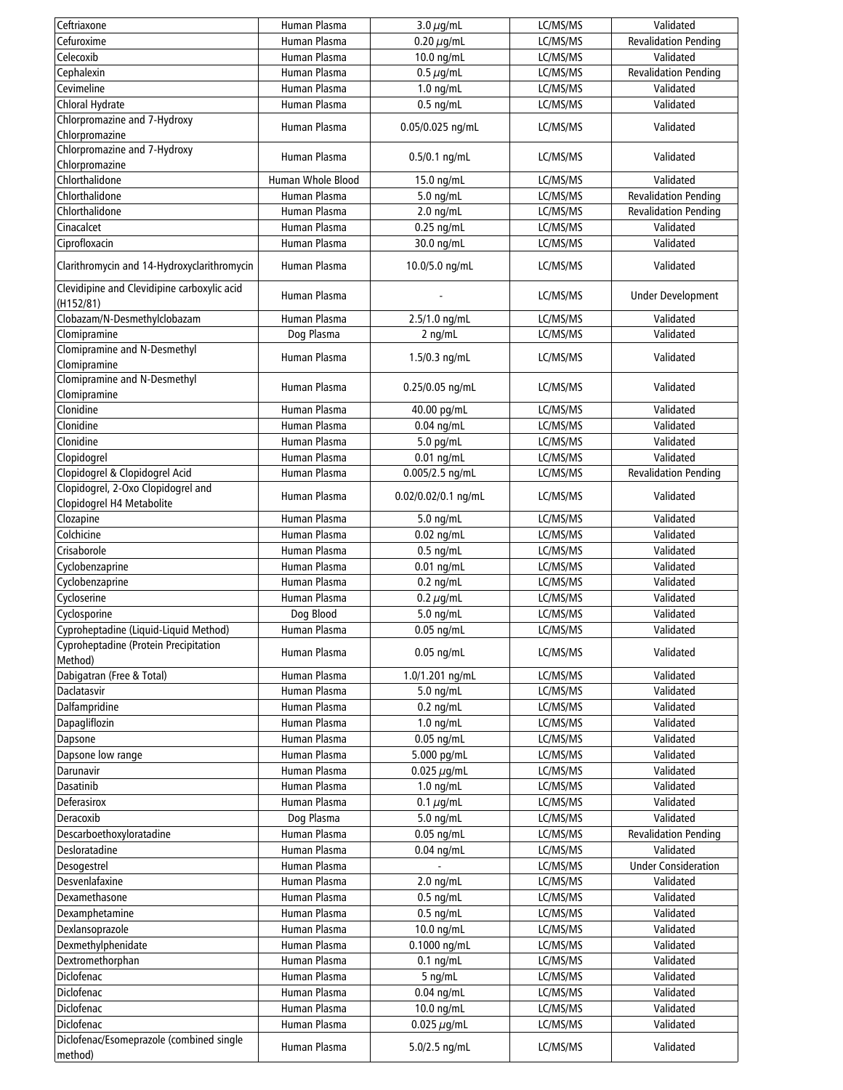| Ceftriaxone                                              | Human Plasma      | 3.0 $\mu$ g/mL      | LC/MS/MS | Validated                   |
|----------------------------------------------------------|-------------------|---------------------|----------|-----------------------------|
| Cefuroxime                                               | Human Plasma      | 0.20 $\mu$ g/mL     | LC/MS/MS | <b>Revalidation Pending</b> |
| Celecoxib                                                | Human Plasma      | 10.0 ng/mL          | LC/MS/MS | Validated                   |
| Cephalexin                                               | Human Plasma      | $0.5 \mu$ g/mL      | LC/MS/MS | <b>Revalidation Pending</b> |
| Cevimeline                                               | Human Plasma      | $1.0$ ng/mL         | LC/MS/MS | Validated                   |
| Chloral Hydrate                                          | Human Plasma      | $0.5$ ng/mL         | LC/MS/MS | Validated                   |
| Chlorpromazine and 7-Hydroxy                             |                   |                     |          |                             |
| Chlorpromazine                                           | Human Plasma      | 0.05/0.025 ng/mL    | LC/MS/MS | Validated                   |
| Chlorpromazine and 7-Hydroxy                             |                   |                     |          |                             |
| Chlorpromazine                                           | Human Plasma      | $0.5/0.1$ ng/mL     | LC/MS/MS | Validated                   |
| Chlorthalidone                                           | Human Whole Blood |                     |          | Validated                   |
|                                                          |                   | 15.0 ng/mL          | LC/MS/MS |                             |
| Chlorthalidone                                           | Human Plasma      | $5.0$ ng/mL         | LC/MS/MS | <b>Revalidation Pending</b> |
| Chlorthalidone                                           | Human Plasma      | $2.0$ ng/mL         | LC/MS/MS | <b>Revalidation Pending</b> |
| Cinacalcet                                               | Human Plasma      | $0.25$ ng/mL        | LC/MS/MS | Validated                   |
| Ciprofloxacin                                            | Human Plasma      | 30.0 ng/mL          | LC/MS/MS | Validated                   |
| Clarithromycin and 14-Hydroxyclarithromycin              | Human Plasma      | 10.0/5.0 ng/mL      | LC/MS/MS | Validated                   |
| Clevidipine and Clevidipine carboxylic acid<br>(H152/81) | Human Plasma      |                     | LC/MS/MS | <b>Under Development</b>    |
| Clobazam/N-Desmethylclobazam                             | Human Plasma      | 2.5/1.0 ng/mL       | LC/MS/MS | Validated                   |
| Clomipramine                                             | Dog Plasma        | $2$ ng/mL           | LC/MS/MS | Validated                   |
| Clomipramine and N-Desmethyl                             |                   |                     |          |                             |
| Clomipramine                                             | Human Plasma      | $1.5/0.3$ ng/mL     | LC/MS/MS | Validated                   |
| <b>Clomipramine and N-Desmethyl</b>                      |                   |                     |          |                             |
| Clomipramine                                             | Human Plasma      | 0.25/0.05 ng/mL     | LC/MS/MS | Validated                   |
| Clonidine                                                | Human Plasma      |                     | LC/MS/MS | Validated                   |
| Clonidine                                                | Human Plasma      | 40.00 pg/mL         |          |                             |
|                                                          |                   | $0.04$ ng/mL        | LC/MS/MS | Validated                   |
| Clonidine                                                | Human Plasma      | 5.0 pg/mL           | LC/MS/MS | Validated                   |
| Clopidogrel                                              | Human Plasma      | $0.01$ ng/mL        | LC/MS/MS | Validated                   |
| Clopidogrel & Clopidogrel Acid                           | Human Plasma      | 0.005/2.5 ng/mL     | LC/MS/MS | <b>Revalidation Pending</b> |
| Clopidogrel, 2-Oxo Clopidogrel and                       | Human Plasma      | 0.02/0.02/0.1 ng/mL | LC/MS/MS | Validated                   |
| Clopidogrel H4 Metabolite                                |                   |                     |          |                             |
| Clozapine                                                | Human Plasma      | 5.0 ng/mL           | LC/MS/MS | Validated                   |
| Colchicine                                               | Human Plasma      | $0.02$ ng/mL        | LC/MS/MS | Validated                   |
| Crisaborole                                              | Human Plasma      | $0.5$ ng/mL         | LC/MS/MS | Validated                   |
| Cyclobenzaprine                                          | Human Plasma      | $0.01$ ng/mL        | LC/MS/MS | Validated                   |
| Cyclobenzaprine                                          | Human Plasma      | $0.2$ ng/mL         | LC/MS/MS | Validated                   |
| Cycloserine                                              | Human Plasma      | 0.2 $\mu$ g/mL      | LC/MS/MS | Validated                   |
| Cyclosporine                                             | Dog Blood         | 5.0 ng/mL           | LC/MS/MS | Validated                   |
| Cyproheptadine (Liquid-Liquid Method)                    | Human Plasma      | $0.05$ ng/mL        | LC/MS/MS | Validated                   |
| Cyproheptadine (Protein Precipitation                    |                   |                     |          |                             |
| Method)                                                  | Human Plasma      | $0.05$ ng/mL        | LC/MS/MS | Validated                   |
| Dabigatran (Free & Total)                                | Human Plasma      | 1.0/1.201 ng/mL     | LC/MS/MS | Validated                   |
| Daclatasvir                                              | Human Plasma      | $5.0$ ng/mL         | LC/MS/MS | Validated                   |
| Dalfampridine                                            | Human Plasma      | $0.2$ ng/mL         | LC/MS/MS | Validated                   |
| Dapagliflozin                                            | Human Plasma      | $1.0$ ng/mL         | LC/MS/MS | Validated                   |
| Dapsone                                                  | Human Plasma      | $0.05$ ng/mL        | LC/MS/MS | Validated                   |
| Dapsone low range                                        | Human Plasma      | 5.000 pg/mL         | LC/MS/MS | Validated                   |
| Darunavir                                                | Human Plasma      | 0.025 $\mu$ g/mL    | LC/MS/MS | Validated                   |
| Dasatinib                                                | Human Plasma      | $1.0$ ng/mL         | LC/MS/MS | Validated                   |
| Deferasirox                                              | Human Plasma      | $0.1 \mu$ g/mL      | LC/MS/MS | Validated                   |
| Deracoxib                                                | Dog Plasma        | 5.0 ng/mL           | LC/MS/MS | Validated                   |
| Descarboethoxyloratadine                                 | Human Plasma      | $0.05$ ng/mL        | LC/MS/MS | <b>Revalidation Pending</b> |
| Desloratadine                                            | Human Plasma      | $0.04$ ng/mL        | LC/MS/MS | Validated                   |
| Desogestrel                                              | Human Plasma      |                     | LC/MS/MS | <b>Under Consideration</b>  |
|                                                          |                   |                     |          |                             |
| Desvenlafaxine                                           | Human Plasma      | $2.0$ ng/mL         | LC/MS/MS | Validated                   |
| Dexamethasone                                            | Human Plasma      | $0.5$ ng/mL         | LC/MS/MS | Validated                   |
| Dexamphetamine                                           | Human Plasma      | $0.5$ ng/mL         | LC/MS/MS | Validated                   |
| Dexlansoprazole                                          | Human Plasma      | 10.0 ng/mL          | LC/MS/MS | Validated                   |
| Dexmethylphenidate                                       | Human Plasma      | 0.1000 ng/mL        | LC/MS/MS | Validated                   |
| Dextromethorphan                                         | Human Plasma      | $0.1$ ng/mL         | LC/MS/MS | Validated                   |
| Diclofenac                                               | Human Plasma      | 5 ng/mL             | LC/MS/MS | Validated                   |
| Diclofenac                                               | Human Plasma      | $0.04$ ng/mL        | LC/MS/MS | Validated                   |
| Diclofenac                                               | Human Plasma      | 10.0 ng/mL          | LC/MS/MS | Validated                   |
| Diclofenac                                               | Human Plasma      | 0.025 $\mu$ g/mL    | LC/MS/MS | Validated                   |
| Diclofenac/Esomeprazole (combined single                 |                   |                     |          |                             |
| method)                                                  | Human Plasma      | $5.0/2.5$ ng/mL     | LC/MS/MS | Validated                   |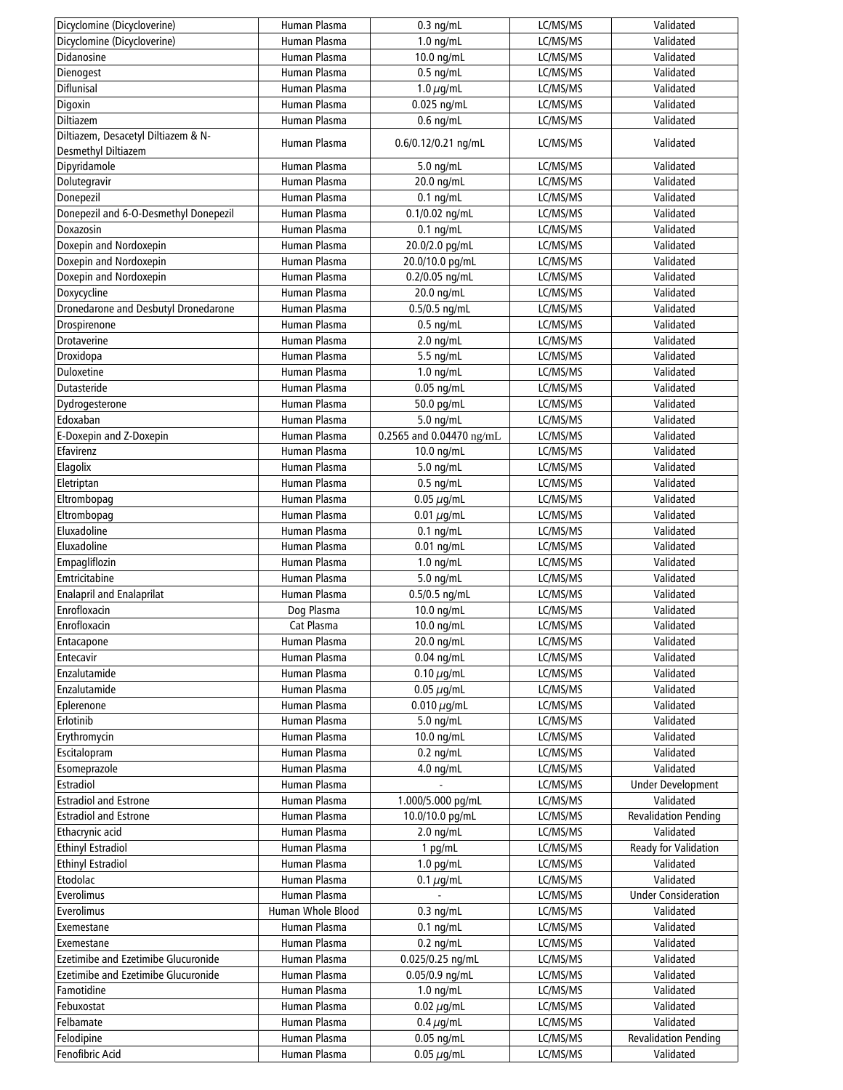| Dicyclomine (Dicycloverine)           | Human Plasma                 | $0.3$ ng/mL                                | LC/MS/MS | Validated                   |
|---------------------------------------|------------------------------|--------------------------------------------|----------|-----------------------------|
| Dicyclomine (Dicycloverine)           | Human Plasma                 | $1.0$ ng/mL                                | LC/MS/MS | Validated                   |
| Didanosine                            | Human Plasma                 | 10.0 ng/mL                                 | LC/MS/MS | Validated                   |
| Dienogest                             | Human Plasma                 | $0.5$ ng/mL                                | LC/MS/MS | Validated                   |
| Diflunisal                            | Human Plasma                 | 1.0 $\mu$ g/mL                             | LC/MS/MS | Validated                   |
| Digoxin                               | Human Plasma                 | $0.025$ ng/mL                              | LC/MS/MS | Validated                   |
| Diltiazem                             | Human Plasma                 | $0.6$ ng/mL                                | LC/MS/MS | Validated                   |
| Diltiazem, Desacetyl Diltiazem & N-   |                              |                                            |          |                             |
| Desmethyl Diltiazem                   | Human Plasma                 | 0.6/0.12/0.21 ng/mL                        | LC/MS/MS | Validated                   |
| Dipyridamole                          | Human Plasma                 | $5.0$ ng/mL                                | LC/MS/MS | Validated                   |
| Dolutegravir                          | Human Plasma                 | 20.0 ng/mL                                 | LC/MS/MS | Validated                   |
| Donepezil                             | Human Plasma                 | $0.1$ ng/mL                                | LC/MS/MS | Validated                   |
| Donepezil and 6-O-Desmethyl Donepezil | Human Plasma                 | $0.1/0.02$ ng/mL                           | LC/MS/MS | Validated                   |
| Doxazosin                             | Human Plasma                 | $0.1$ ng/mL                                | LC/MS/MS | Validated                   |
| Doxepin and Nordoxepin                | Human Plasma                 | 20.0/2.0 pg/mL                             | LC/MS/MS | Validated                   |
| Doxepin and Nordoxepin                | Human Plasma                 | 20.0/10.0 pg/mL                            | LC/MS/MS | Validated                   |
| Doxepin and Nordoxepin                | Human Plasma                 | 0.2/0.05 ng/mL                             | LC/MS/MS | Validated                   |
| Doxycycline                           | Human Plasma                 | 20.0 ng/mL                                 | LC/MS/MS | Validated                   |
| Dronedarone and Desbutyl Dronedarone  | Human Plasma                 | $0.5/0.5$ ng/mL                            | LC/MS/MS | Validated                   |
| Drospirenone                          | Human Plasma                 | $0.5$ ng/mL                                | LC/MS/MS | Validated                   |
| Drotaverine                           | Human Plasma                 | $2.0$ ng/mL                                |          | Validated                   |
|                                       | Human Plasma                 |                                            | LC/MS/MS | Validated                   |
| Droxidopa                             |                              | 5.5 ng/mL                                  | LC/MS/MS |                             |
| Duloxetine                            | Human Plasma                 | $1.0$ ng/mL                                | LC/MS/MS | Validated                   |
| Dutasteride                           | Human Plasma                 | $0.05$ ng/mL                               | LC/MS/MS | Validated                   |
| Dydrogesterone                        | Human Plasma                 | 50.0 pg/mL                                 | LC/MS/MS | Validated                   |
| Edoxaban                              | Human Plasma                 | 5.0 ng/mL                                  | LC/MS/MS | Validated                   |
| E-Doxepin and Z-Doxepin               | Human Plasma                 | 0.2565 and 0.04470 ng/mL                   | LC/MS/MS | Validated                   |
| Efavirenz                             | Human Plasma                 | 10.0 ng/mL                                 | LC/MS/MS | Validated                   |
| Elagolix                              | Human Plasma                 | 5.0 ng/mL                                  | LC/MS/MS | Validated                   |
| Eletriptan                            | Human Plasma                 | $0.5$ ng/mL                                | LC/MS/MS | Validated                   |
| Eltrombopag                           | Human Plasma                 | $0.05 \ \mu$ g/mL                          | LC/MS/MS | Validated                   |
| Eltrombopag                           | Human Plasma                 | 0.01 $\mu$ g/mL                            | LC/MS/MS | Validated                   |
| Eluxadoline                           | Human Plasma                 | $0.1$ ng/mL                                | LC/MS/MS | Validated                   |
| Eluxadoline                           | Human Plasma                 | $0.01$ ng/mL                               | LC/MS/MS | Validated                   |
| Empagliflozin                         | Human Plasma                 | $1.0$ ng/mL                                | LC/MS/MS | Validated                   |
| Emtricitabine                         | Human Plasma                 | 5.0 ng/mL                                  | LC/MS/MS | Validated                   |
| <b>Enalapril and Enalaprilat</b>      | Human Plasma                 | 0.5/0.5 ng/mL                              | LC/MS/MS | Validated                   |
| Enrofloxacin                          | Dog Plasma                   | 10.0 ng/mL                                 | LC/MS/MS | Validated                   |
| Enrofloxacin                          | Cat Plasma                   | 10.0 ng/mL                                 | LC/MS/MS | Validated                   |
| Entacapone                            | Human Plasma                 | 20.0 ng/mL                                 | LC/MS/MS | Validated                   |
| Entecavir                             | Human Plasma                 | $0.04$ ng/mL                               | LC/MS/MS | Validated                   |
| Enzalutamide                          | Human Plasma                 | $0.10 \,\mu$ g/mL                          | LC/MS/MS | Validated                   |
| Enzalutamide                          | Human Plasma                 | $0.05 \mu$ g/mL                            | LC/MS/MS | Validated                   |
| Eplerenone                            | Human Plasma                 | $0.010 \mu$ g/mL                           | LC/MS/MS | Validated                   |
| Erlotinib                             | Human Plasma                 | 5.0 ng/mL                                  | LC/MS/MS | Validated                   |
| Erythromycin                          | Human Plasma                 | 10.0 ng/mL                                 | LC/MS/MS | Validated                   |
| Escitalopram                          | Human Plasma                 | $0.2$ ng/mL                                | LC/MS/MS | Validated                   |
| Esomeprazole                          | Human Plasma                 | 4.0 ng/mL                                  | LC/MS/MS | Validated                   |
| Estradiol                             | Human Plasma                 | $\blacksquare$                             | LC/MS/MS | <b>Under Development</b>    |
| <b>Estradiol and Estrone</b>          | Human Plasma                 | 1.000/5.000 pg/mL                          | LC/MS/MS | Validated                   |
| <b>Estradiol and Estrone</b>          | Human Plasma                 | 10.0/10.0 pg/mL                            | LC/MS/MS | <b>Revalidation Pending</b> |
| Ethacrynic acid                       | Human Plasma                 | $2.0$ ng/mL                                | LC/MS/MS | Validated                   |
| <b>Ethinyl Estradiol</b>              | Human Plasma                 |                                            |          | Ready for Validation        |
| <b>Ethinyl Estradiol</b>              |                              | 1 $pg/mL$                                  | LC/MS/MS | Validated                   |
| Etodolac                              | Human Plasma<br>Human Plasma | $1.0$ pg/mL                                | LC/MS/MS | Validated                   |
|                                       |                              | $0.1 \mu g/mL$<br>$\overline{\phantom{a}}$ | LC/MS/MS |                             |
| Everolimus                            | Human Plasma                 |                                            | LC/MS/MS | <b>Under Consideration</b>  |
| Everolimus                            | Human Whole Blood            | $0.3$ ng/mL                                | LC/MS/MS | Validated                   |
| Exemestane                            | Human Plasma                 | $0.1$ ng/mL                                | LC/MS/MS | Validated                   |
| Exemestane                            | Human Plasma                 | $0.2$ ng/mL                                | LC/MS/MS | Validated                   |
| Ezetimibe and Ezetimibe Glucuronide   | Human Plasma                 | 0.025/0.25 ng/mL                           | LC/MS/MS | Validated                   |
| Ezetimibe and Ezetimibe Glucuronide   | Human Plasma                 | 0.05/0.9 ng/mL                             | LC/MS/MS | Validated                   |
| Famotidine                            | Human Plasma                 | $1.0$ ng/mL                                | LC/MS/MS | Validated                   |
| Febuxostat                            | Human Plasma                 | 0.02 $\mu$ g/mL                            | LC/MS/MS | Validated                   |
| Felbamate                             | Human Plasma                 | $0.4 \mu$ g/mL                             | LC/MS/MS | Validated                   |
| Felodipine                            | Human Plasma                 | $0.05$ ng/mL                               | LC/MS/MS | <b>Revalidation Pending</b> |
| Fenofibric Acid                       | Human Plasma                 | 0.05 $\mu$ g/mL                            | LC/MS/MS | Validated                   |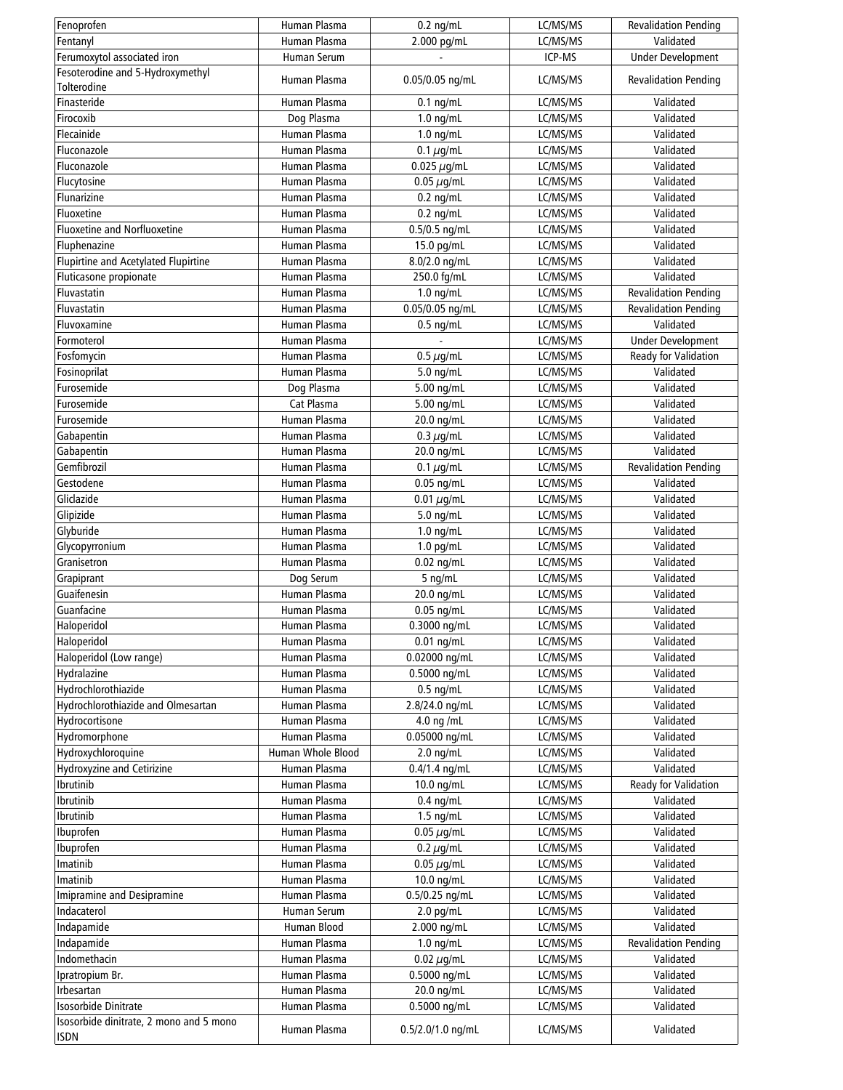| Fenoprofen                              | Human Plasma      | $0.2$ ng/mL       | LC/MS/MS | <b>Revalidation Pending</b>              |
|-----------------------------------------|-------------------|-------------------|----------|------------------------------------------|
| Fentanyl                                | Human Plasma      | 2.000 pg/mL       | LC/MS/MS | Validated                                |
| Ferumoxytol associated iron             | Human Serum       |                   | ICP-MS   | <b>Under Development</b>                 |
| Fesoterodine and 5-Hydroxymethyl        | Human Plasma      |                   |          |                                          |
| Tolterodine                             |                   | 0.05/0.05 ng/mL   | LC/MS/MS | <b>Revalidation Pending</b>              |
| Finasteride                             | Human Plasma      | $0.1$ ng/mL       | LC/MS/MS | Validated                                |
| Firocoxib                               | Dog Plasma        | $1.0$ ng/mL       | LC/MS/MS | Validated                                |
| Flecainide                              | Human Plasma      | $1.0$ ng/mL       | LC/MS/MS | Validated                                |
| Fluconazole                             | Human Plasma      | 0.1 $\mu$ g/mL    | LC/MS/MS | Validated                                |
| Fluconazole                             | Human Plasma      | 0.025 $\mu$ g/mL  | LC/MS/MS | Validated                                |
| Flucytosine                             | Human Plasma      | $0.05 \,\mu$ g/mL | LC/MS/MS | Validated                                |
| Flunarizine                             | Human Plasma      | $0.2$ ng/mL       | LC/MS/MS | Validated                                |
| Fluoxetine                              | Human Plasma      | $0.2$ ng/mL       | LC/MS/MS | Validated                                |
| Fluoxetine and Norfluoxetine            | Human Plasma      | 0.5/0.5 ng/mL     | LC/MS/MS | Validated                                |
| Fluphenazine                            | Human Plasma      | 15.0 pg/mL        | LC/MS/MS | Validated                                |
| Flupirtine and Acetylated Flupirtine    | Human Plasma      | 8.0/2.0 ng/mL     | LC/MS/MS | Validated                                |
| Fluticasone propionate                  | Human Plasma      | 250.0 fg/mL       | LC/MS/MS | Validated                                |
| Fluvastatin                             | Human Plasma      | $1.0$ ng/mL       | LC/MS/MS | <b>Revalidation Pending</b>              |
| Fluvastatin                             | Human Plasma      | 0.05/0.05 ng/mL   |          |                                          |
|                                         |                   |                   | LC/MS/MS | <b>Revalidation Pending</b><br>Validated |
| Fluvoxamine                             | Human Plasma      | $0.5$ ng/mL       | LC/MS/MS |                                          |
| Formoterol                              | Human Plasma      |                   | LC/MS/MS | <b>Under Development</b>                 |
| Fosfomycin                              | Human Plasma      | $0.5 \mu$ g/mL    | LC/MS/MS | Ready for Validation                     |
| Fosinoprilat                            | Human Plasma      | 5.0 ng/mL         | LC/MS/MS | Validated                                |
| Furosemide                              | Dog Plasma        | 5.00 ng/mL        | LC/MS/MS | Validated                                |
| Furosemide                              | Cat Plasma        | 5.00 ng/mL        | LC/MS/MS | Validated                                |
| Furosemide                              | Human Plasma      | 20.0 ng/mL        | LC/MS/MS | Validated                                |
| Gabapentin                              | Human Plasma      | 0.3 $\mu$ g/mL    | LC/MS/MS | Validated                                |
| Gabapentin                              | Human Plasma      | 20.0 ng/mL        | LC/MS/MS | Validated                                |
| Gemfibrozil                             | Human Plasma      | 0.1 $\mu$ g/mL    | LC/MS/MS | <b>Revalidation Pending</b>              |
| Gestodene                               | Human Plasma      | $0.05$ ng/mL      | LC/MS/MS | Validated                                |
| Gliclazide                              | Human Plasma      | 0.01 $\mu$ g/mL   | LC/MS/MS | Validated                                |
| Glipizide                               | Human Plasma      | 5.0 ng/mL         | LC/MS/MS | Validated                                |
| Glyburide                               | Human Plasma      | $1.0$ ng/mL       | LC/MS/MS | Validated                                |
| Glycopyrronium                          | Human Plasma      | $1.0$ pg/mL       | LC/MS/MS | Validated                                |
| Granisetron                             | Human Plasma      | $0.02$ ng/mL      | LC/MS/MS | Validated                                |
| Grapiprant                              | Dog Serum         | 5 ng/mL           | LC/MS/MS | Validated                                |
| Guaifenesin                             | Human Plasma      | 20.0 ng/mL        | LC/MS/MS | Validated                                |
| Guanfacine                              | Human Plasma      | $0.05$ ng/mL      | LC/MS/MS | Validated                                |
| Haloperidol                             | Human Plasma      | 0.3000 ng/mL      | LC/MS/MS | Validated                                |
| Haloperidol                             | Human Plasma      | $0.01$ ng/mL      | LC/MS/MS | Validated                                |
| Haloperidol (Low range)                 | Human Plasma      |                   | LC/MS/MS | Validated                                |
|                                         |                   | 0.02000 ng/mL     |          |                                          |
| Hydralazine                             | Human Plasma      | 0.5000 ng/mL      | LC/MS/MS | Validated                                |
| Hydrochlorothiazide                     | Human Plasma      | $0.5$ ng/mL       | LC/MS/MS | Validated                                |
| Hydrochlorothiazide and Olmesartan      | Human Plasma      | 2.8/24.0 ng/mL    | LC/MS/MS | Validated                                |
| Hydrocortisone                          | Human Plasma      | 4.0 ng /mL        | LC/MS/MS | Validated                                |
| Hydromorphone                           | Human Plasma      | 0.05000 ng/mL     | LC/MS/MS | Validated                                |
| Hydroxychloroquine                      | Human Whole Blood | $2.0$ ng/mL       | LC/MS/MS | Validated                                |
| Hydroxyzine and Cetirizine              | Human Plasma      | 0.4/1.4 ng/mL     | LC/MS/MS | Validated                                |
| Ibrutinib                               | Human Plasma      | 10.0 ng/mL        | LC/MS/MS | Ready for Validation                     |
| Ibrutinib                               | Human Plasma      | $0.4$ ng/mL       | LC/MS/MS | Validated                                |
| Ibrutinib                               | Human Plasma      | $1.5$ ng/mL       | LC/MS/MS | Validated                                |
| Ibuprofen                               | Human Plasma      | $0.05 \mu$ g/mL   | LC/MS/MS | Validated                                |
| Ibuprofen                               | Human Plasma      | 0.2 $\mu$ g/mL    | LC/MS/MS | Validated                                |
| Imatinib                                | Human Plasma      | $0.05 \,\mu$ g/mL | LC/MS/MS | Validated                                |
| Imatinib                                | Human Plasma      | 10.0 ng/mL        | LC/MS/MS | Validated                                |
| Imipramine and Desipramine              | Human Plasma      | 0.5/0.25 ng/mL    | LC/MS/MS | Validated                                |
| Indacaterol                             | Human Serum       | $2.0$ pg/mL       | LC/MS/MS | Validated                                |
| Indapamide                              | Human Blood       | 2.000 ng/mL       | LC/MS/MS | Validated                                |
| Indapamide                              | Human Plasma      | $1.0$ ng/mL       | LC/MS/MS | Revalidation Pending                     |
| Indomethacin                            | Human Plasma      | $0.02 \mu$ g/mL   | LC/MS/MS | Validated                                |
|                                         |                   |                   |          |                                          |
| Ipratropium Br.                         | Human Plasma      | 0.5000 ng/mL      | LC/MS/MS | Validated                                |
| Irbesartan                              | Human Plasma      | 20.0 ng/mL        | LC/MS/MS | Validated                                |
| Isosorbide Dinitrate                    | Human Plasma      | 0.5000 ng/mL      | LC/MS/MS | Validated                                |
| Isosorbide dinitrate, 2 mono and 5 mono | Human Plasma      | 0.5/2.0/1.0 ng/mL | LC/MS/MS | Validated                                |
| <b>ISDN</b>                             |                   |                   |          |                                          |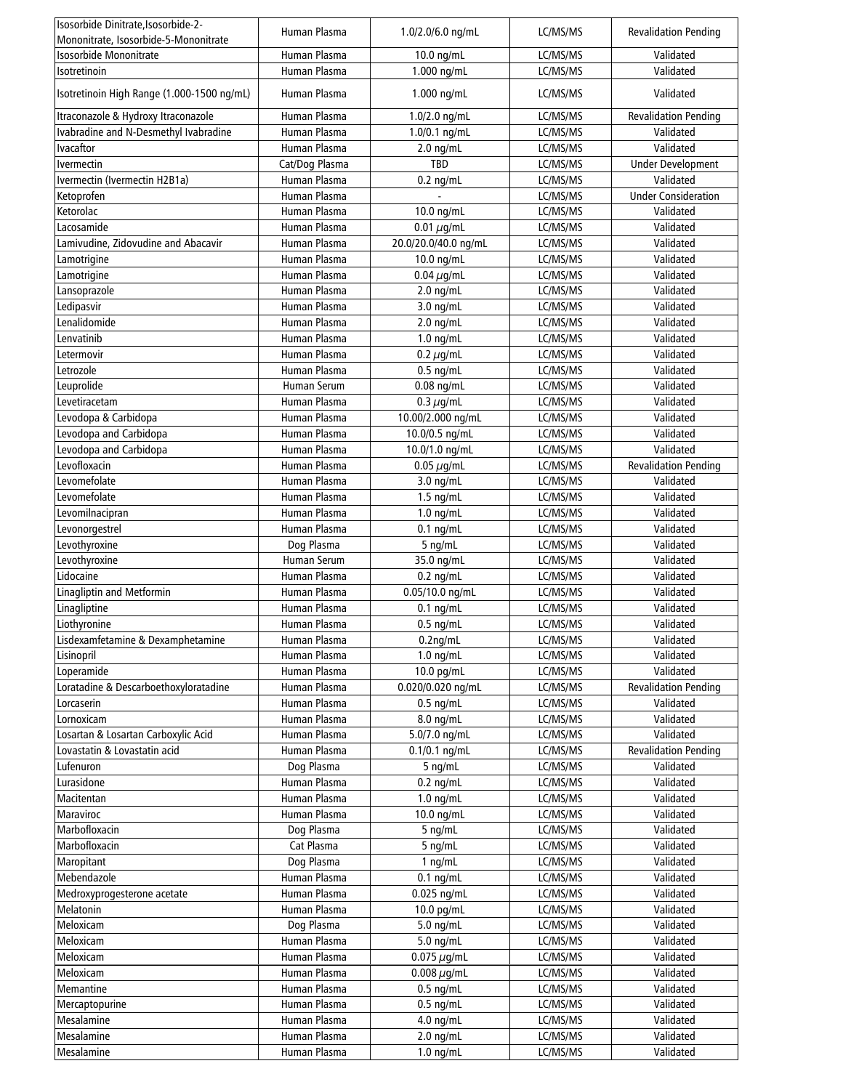| Isosorbide Dinitrate, Isosorbide-2-        | Human Plasma                 | $1.0/2.0/6.0$ ng/mL    | LC/MS/MS | <b>Revalidation Pending</b> |
|--------------------------------------------|------------------------------|------------------------|----------|-----------------------------|
| Mononitrate, Isosorbide-5-Mononitrate      |                              |                        |          |                             |
| Isosorbide Mononitrate                     | Human Plasma<br>Human Plasma | 10.0 ng/mL             | LC/MS/MS | Validated<br>Validated      |
| Isotretinoin                               |                              | 1.000 ng/mL            | LC/MS/MS |                             |
| Isotretinoin High Range (1.000-1500 ng/mL) | Human Plasma                 | 1.000 ng/mL            | LC/MS/MS | Validated                   |
| Itraconazole & Hydroxy Itraconazole        | Human Plasma                 | 1.0/2.0 ng/mL          | LC/MS/MS | <b>Revalidation Pending</b> |
| Ivabradine and N-Desmethyl Ivabradine      | Human Plasma                 | 1.0/0.1 ng/mL          | LC/MS/MS | Validated                   |
| <b>Ivacaftor</b>                           | Human Plasma                 | $2.0$ ng/mL            | LC/MS/MS | Validated                   |
| Ivermectin                                 | Cat/Dog Plasma               | TBD                    | LC/MS/MS | <b>Under Development</b>    |
| Ivermectin (Ivermectin H2B1a)              | Human Plasma                 | $0.2$ ng/mL            | LC/MS/MS | Validated                   |
| Ketoprofen                                 | Human Plasma                 |                        | LC/MS/MS | <b>Under Consideration</b>  |
| Ketorolac                                  | Human Plasma                 | 10.0 ng/mL             | LC/MS/MS | Validated                   |
| Lacosamide                                 | Human Plasma                 | 0.01 $\mu$ g/mL        | LC/MS/MS | Validated                   |
| Lamivudine, Zidovudine and Abacavir        | Human Plasma                 | 20.0/20.0/40.0 ng/mL   | LC/MS/MS | Validated                   |
| Lamotrigine                                | Human Plasma                 | 10.0 ng/mL             | LC/MS/MS | Validated                   |
| Lamotrigine                                | Human Plasma                 | $0.04 \mu$ g/mL        | LC/MS/MS | Validated                   |
| Lansoprazole                               | Human Plasma                 | $2.0$ ng/mL            | LC/MS/MS | Validated                   |
| Ledipasvir                                 | Human Plasma                 | $3.0$ ng/mL            | LC/MS/MS | Validated                   |
| Lenalidomide                               | Human Plasma                 | $2.0$ ng/mL            | LC/MS/MS | Validated                   |
| Lenvatinib                                 | Human Plasma                 | $1.0$ ng/mL            | LC/MS/MS | Validated                   |
| Letermovir                                 | Human Plasma                 | $0.2 \mu$ g/mL         | LC/MS/MS | Validated                   |
| Letrozole                                  | Human Plasma                 | $0.5$ ng/mL            | LC/MS/MS | Validated                   |
| Leuprolide                                 | Human Serum                  | $0.08$ ng/mL           | LC/MS/MS | Validated                   |
| Levetiracetam                              | Human Plasma                 | 0.3 $\mu$ g/mL         | LC/MS/MS | Validated                   |
| Levodopa & Carbidopa                       | Human Plasma                 | 10.00/2.000 ng/mL      | LC/MS/MS | Validated                   |
| Levodopa and Carbidopa                     | Human Plasma                 | 10.0/0.5 ng/mL         | LC/MS/MS | Validated                   |
| Levodopa and Carbidopa                     | Human Plasma                 | 10.0/1.0 ng/mL         | LC/MS/MS | Validated                   |
| Levofloxacin                               | Human Plasma                 | $0.05 \mu$ g/mL        | LC/MS/MS | <b>Revalidation Pending</b> |
| Levomefolate                               | Human Plasma                 | $3.0$ ng/mL            | LC/MS/MS | Validated                   |
| Levomefolate                               | Human Plasma                 | $1.5$ ng/mL            | LC/MS/MS | Validated                   |
| Levomilnacipran                            | Human Plasma                 | $1.0$ ng/mL            | LC/MS/MS | Validated                   |
| Levonorgestrel                             | Human Plasma                 | $0.1$ ng/mL            | LC/MS/MS | Validated                   |
| Levothyroxine                              | Dog Plasma                   | 5 ng/mL                | LC/MS/MS | Validated                   |
| Levothyroxine                              | <b>Human Serum</b>           | 35.0 ng/mL             | LC/MS/MS | Validated                   |
| Lidocaine                                  | Human Plasma                 | $0.2$ ng/mL            | LC/MS/MS | Validated                   |
| Linagliptin and Metformin                  | Human Plasma                 | 0.05/10.0 ng/mL        | LC/MS/MS | Validated                   |
| Linagliptine                               | Human Plasma                 | $0.1$ ng/mL            | LC/MS/MS | Validated                   |
| Liothyronine                               | Human Plasma                 | $0.5$ ng/mL            | LC/MS/MS | Validated                   |
| Lisdexamfetamine & Dexamphetamine          | Human Plasma                 | $\overline{0.2}$ ng/mL | LC/MS/MS | Validated                   |
| Lisinopril                                 | Human Plasma                 | $1.0$ ng/mL            | LC/MS/MS | Validated                   |
| Loperamide                                 | Human Plasma                 | 10.0 pg/mL             | LC/MS/MS | Validated                   |
| Loratadine & Descarboethoxyloratadine      | Human Plasma                 | 0.020/0.020 ng/mL      | LC/MS/MS | <b>Revalidation Pending</b> |
| Lorcaserin                                 | Human Plasma                 | $0.5$ ng/mL            | LC/MS/MS | Validated                   |
| Lornoxicam                                 | Human Plasma                 | 8.0 ng/mL              | LC/MS/MS | Validated                   |
| Losartan & Losartan Carboxylic Acid        | Human Plasma                 | 5.0/7.0 ng/mL          | LC/MS/MS | Validated                   |
| Lovastatin & Lovastatin acid               | Human Plasma                 | $0.1/0.1$ ng/mL        | LC/MS/MS | <b>Revalidation Pending</b> |
| Lufenuron                                  | Dog Plasma                   | 5 ng/mL                | LC/MS/MS | Validated                   |
| Lurasidone                                 | Human Plasma                 | $0.2$ ng/mL            | LC/MS/MS | Validated                   |
| Macitentan                                 | Human Plasma                 | $1.0$ ng/mL            | LC/MS/MS | Validated                   |
| Maraviroc                                  | Human Plasma                 | 10.0 ng/mL             | LC/MS/MS | Validated                   |
| Marbofloxacin                              | Dog Plasma                   | 5 ng/mL                | LC/MS/MS | Validated                   |
| Marbofloxacin                              | Cat Plasma                   | $5$ ng/mL              | LC/MS/MS | Validated                   |
| Maropitant                                 | Dog Plasma                   | 1 $nq/mL$              | LC/MS/MS | Validated                   |
| Mebendazole                                | Human Plasma                 | $0.1$ ng/mL            | LC/MS/MS | Validated                   |
| Medroxyprogesterone acetate                | Human Plasma                 | 0.025 ng/mL            | LC/MS/MS | Validated                   |
| Melatonin                                  | Human Plasma                 | 10.0 pg/mL             | LC/MS/MS | Validated                   |
| Meloxicam                                  | Dog Plasma                   | 5.0 ng/mL              | LC/MS/MS | Validated                   |
| Meloxicam                                  | Human Plasma                 | 5.0 ng/mL              | LC/MS/MS | Validated                   |
| Meloxicam                                  | Human Plasma                 | 0.075 $\mu$ g/mL       | LC/MS/MS | Validated                   |
| Meloxicam                                  | Human Plasma                 | $0.008 \mu$ g/mL       | LC/MS/MS | Validated                   |
| Memantine                                  | Human Plasma                 | $0.5$ ng/mL            | LC/MS/MS | Validated                   |
| Mercaptopurine                             | Human Plasma                 | $0.5$ ng/mL            | LC/MS/MS | Validated                   |
| Mesalamine                                 | Human Plasma                 | 4.0 ng/mL              | LC/MS/MS | Validated                   |
| Mesalamine                                 | Human Plasma                 | $2.0$ ng/mL            | LC/MS/MS | Validated                   |
| Mesalamine                                 | Human Plasma                 | $1.0$ ng/mL            | LC/MS/MS | Validated                   |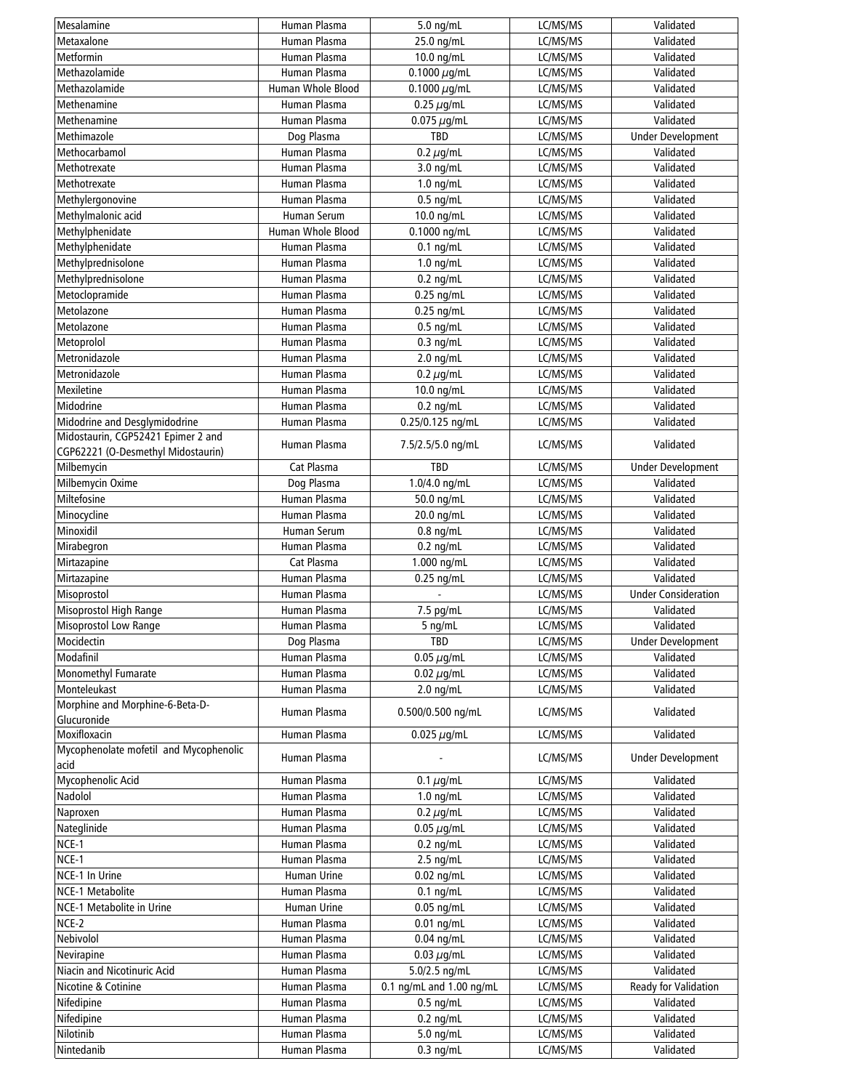| Mesalamine                             | Human Plasma       | $5.0$ ng/mL              | LC/MS/MS | Validated                  |
|----------------------------------------|--------------------|--------------------------|----------|----------------------------|
| Metaxalone                             | Human Plasma       | 25.0 ng/mL               | LC/MS/MS | Validated                  |
| Metformin                              | Human Plasma       | 10.0 ng/mL               | LC/MS/MS | Validated                  |
| Methazolamide                          | Human Plasma       | 0.1000 $\mu$ g/mL        | LC/MS/MS | Validated                  |
| Methazolamide                          | Human Whole Blood  | 0.1000 $\mu$ g/mL        | LC/MS/MS | Validated                  |
| Methenamine                            | Human Plasma       | $0.25 \mu$ g/mL          | LC/MS/MS | Validated                  |
| Methenamine                            | Human Plasma       | 0.075 $\mu$ g/mL         | LC/MS/MS | Validated                  |
| Methimazole                            | Dog Plasma         | TBD                      | LC/MS/MS | <b>Under Development</b>   |
| Methocarbamol                          | Human Plasma       | $0.2 \mu$ g/mL           | LC/MS/MS | Validated                  |
| Methotrexate                           | Human Plasma       | 3.0 ng/mL                | LC/MS/MS | Validated                  |
| Methotrexate                           | Human Plasma       | $1.0$ ng/mL              | LC/MS/MS | Validated                  |
|                                        | Human Plasma       |                          |          | Validated                  |
| Methylergonovine                       |                    | $0.5$ ng/mL              | LC/MS/MS |                            |
| Methylmalonic acid                     | Human Serum        | 10.0 ng/mL               | LC/MS/MS | Validated                  |
| Methylphenidate                        | Human Whole Blood  | 0.1000 ng/mL             | LC/MS/MS | Validated                  |
| Methylphenidate                        | Human Plasma       | $0.1$ ng/mL              | LC/MS/MS | Validated                  |
| Methylprednisolone                     | Human Plasma       | $1.0$ ng/mL              | LC/MS/MS | Validated                  |
| Methylprednisolone                     | Human Plasma       | $0.2$ ng/mL              | LC/MS/MS | Validated                  |
| Metoclopramide                         | Human Plasma       | $0.25$ ng/mL             | LC/MS/MS | Validated                  |
| Metolazone                             | Human Plasma       | $0.25$ ng/mL             | LC/MS/MS | Validated                  |
| Metolazone                             | Human Plasma       | $0.5$ ng/mL              | LC/MS/MS | Validated                  |
| Metoprolol                             | Human Plasma       | $0.3$ ng/mL              | LC/MS/MS | Validated                  |
| Metronidazole                          | Human Plasma       | $2.0$ ng/mL              | LC/MS/MS | Validated                  |
| Metronidazole                          | Human Plasma       | 0.2 $\mu$ g/mL           | LC/MS/MS | Validated                  |
| Mexiletine                             | Human Plasma       | 10.0 ng/mL               | LC/MS/MS | Validated                  |
| Midodrine                              | Human Plasma       | $0.2$ ng/mL              | LC/MS/MS | Validated                  |
| Midodrine and Desglymidodrine          | Human Plasma       | 0.25/0.125 ng/mL         | LC/MS/MS | Validated                  |
| Midostaurin, CGP52421 Epimer 2 and     |                    |                          |          |                            |
| CGP62221 (O-Desmethyl Midostaurin)     | Human Plasma       | 7.5/2.5/5.0 ng/mL        | LC/MS/MS | Validated                  |
| Milbemycin                             | Cat Plasma         | TBD                      | LC/MS/MS | <b>Under Development</b>   |
|                                        |                    |                          |          | Validated                  |
| Milbemycin Oxime                       | Dog Plasma         | 1.0/4.0 ng/mL            | LC/MS/MS |                            |
| Miltefosine                            | Human Plasma       | 50.0 ng/mL               | LC/MS/MS | Validated                  |
| Minocycline                            | Human Plasma       | 20.0 ng/mL               | LC/MS/MS | Validated                  |
| Minoxidil                              | <b>Human Serum</b> | $0.8$ ng/mL              | LC/MS/MS | Validated                  |
| Mirabegron                             | Human Plasma       | $0.2$ ng/mL              | LC/MS/MS | Validated                  |
| Mirtazapine                            | Cat Plasma         | 1.000 ng/mL              | LC/MS/MS | Validated                  |
| Mirtazapine                            | Human Plasma       | $0.25$ ng/mL             | LC/MS/MS | Validated                  |
| Misoprostol                            | Human Plasma       |                          | LC/MS/MS | <b>Under Consideration</b> |
| Misoprostol High Range                 | Human Plasma       | 7.5 pg/mL                | LC/MS/MS | Validated                  |
| <b>Misoprostol Low Range</b>           | Human Plasma       | 5 ng/mL                  | LC/MS/MS | Validated                  |
| Mocidectin                             | Dog Plasma         | TBD                      | LC/MS/MS | <b>Under Development</b>   |
| Modafinil                              | Human Plasma       | $0.05 \mu$ g/mL          | LC/MS/MS | Validated                  |
| Monomethyl Fumarate                    | Human Plasma       | $0.02 \mu$ g/mL          | LC/MS/MS | Validated                  |
| Monteleukast                           | Human Plasma       | $2.0$ ng/mL              | LC/MS/MS | Validated                  |
| Morphine and Morphine-6-Beta-D-        |                    |                          |          |                            |
| Glucuronide                            | Human Plasma       | 0.500/0.500 ng/mL        | LC/MS/MS | Validated                  |
| Moxifloxacin                           | Human Plasma       | 0.025 $\mu$ g/mL         | LC/MS/MS | Validated                  |
| Mycophenolate mofetil and Mycophenolic |                    |                          |          |                            |
| acid                                   | Human Plasma       |                          | LC/MS/MS | <b>Under Development</b>   |
| Mycophenolic Acid                      | Human Plasma       | 0.1 $\mu$ g/mL           | LC/MS/MS | Validated                  |
| Nadolol                                | Human Plasma       | $1.0$ ng/mL              | LC/MS/MS | Validated                  |
| Naproxen                               | Human Plasma       | 0.2 $\mu$ g/mL           | LC/MS/MS | Validated                  |
| Nateglinide                            | Human Plasma       | 0.05 $\mu$ g/mL          | LC/MS/MS | Validated                  |
| NCE-1                                  | Human Plasma       | $0.2$ ng/mL              | LC/MS/MS | Validated                  |
| NCE-1                                  | Human Plasma       | $2.5$ ng/mL              | LC/MS/MS | Validated                  |
| NCE-1 In Urine                         | Human Urine        |                          |          | Validated                  |
|                                        |                    | $0.02$ ng/mL             | LC/MS/MS |                            |
| NCE-1 Metabolite                       | Human Plasma       | $0.1$ ng/mL              | LC/MS/MS | Validated                  |
| NCE-1 Metabolite in Urine              | Human Urine        | $0.05$ ng/mL             | LC/MS/MS | Validated                  |
| NCE-2                                  | Human Plasma       | $0.01$ ng/mL             | LC/MS/MS | Validated                  |
| Nebivolol                              | Human Plasma       | $0.04$ ng/mL             | LC/MS/MS | Validated                  |
| Nevirapine                             | Human Plasma       | $0.03 \mu$ g/mL          | LC/MS/MS | Validated                  |
| Niacin and Nicotinuric Acid            | Human Plasma       | 5.0/2.5 ng/mL            | LC/MS/MS | Validated                  |
| Nicotine & Cotinine                    | Human Plasma       | 0.1 ng/mL and 1.00 ng/mL | LC/MS/MS | Ready for Validation       |
| Nifedipine                             | Human Plasma       | $0.5$ ng/mL              | LC/MS/MS | Validated                  |
| Nifedipine                             | Human Plasma       | $0.2$ ng/mL              | LC/MS/MS | Validated                  |
| Nilotinib                              | Human Plasma       | 5.0 ng/mL                | LC/MS/MS | Validated                  |
| Nintedanib                             | Human Plasma       | $0.3$ ng/mL              | LC/MS/MS | Validated                  |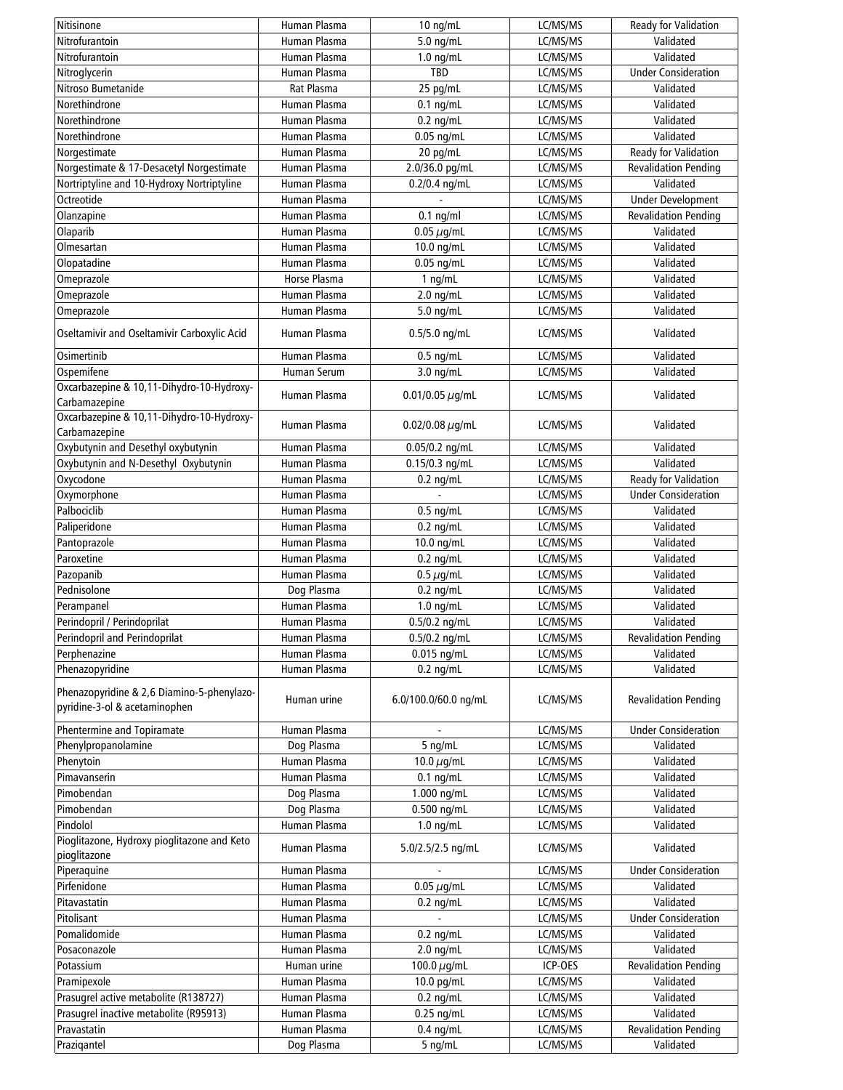| Nitisinone                                                                  | Human Plasma | $10 \text{ ng/mL}$         | LC/MS/MS             | Ready for Validation        |
|-----------------------------------------------------------------------------|--------------|----------------------------|----------------------|-----------------------------|
| Nitrofurantoin                                                              | Human Plasma | 5.0 ng/mL                  | LC/MS/MS             | Validated                   |
| Nitrofurantoin                                                              | Human Plasma | $1.0$ ng/mL                | LC/MS/MS             | Validated                   |
| Nitroglycerin                                                               | Human Plasma | TBD                        | LC/MS/MS             | <b>Under Consideration</b>  |
| Nitroso Bumetanide                                                          | Rat Plasma   | 25 pg/mL                   | LC/MS/MS             | Validated                   |
| Norethindrone                                                               | Human Plasma | $0.1$ ng/mL                | LC/MS/MS             | Validated                   |
| Norethindrone                                                               | Human Plasma | $0.2$ ng/mL                | LC/MS/MS             | Validated                   |
| Norethindrone                                                               | Human Plasma | $0.05$ ng/mL               | LC/MS/MS             | Validated                   |
| Norgestimate                                                                | Human Plasma | 20 pg/mL                   | LC/MS/MS             | Ready for Validation        |
| Norgestimate & 17-Desacetyl Norgestimate                                    | Human Plasma | 2.0/36.0 pg/mL             | LC/MS/MS             | <b>Revalidation Pending</b> |
| Nortriptyline and 10-Hydroxy Nortriptyline                                  | Human Plasma | $0.2/0.4$ ng/mL            | LC/MS/MS             | Validated                   |
| Octreotide                                                                  | Human Plasma |                            | LC/MS/MS             | <b>Under Development</b>    |
|                                                                             | Human Plasma |                            |                      | <b>Revalidation Pending</b> |
| Olanzapine                                                                  | Human Plasma | $0.1$ ng/ml                | LC/MS/MS             | Validated                   |
| Olaparib                                                                    |              | $0.05 \,\mu$ g/mL          | LC/MS/MS             |                             |
| Olmesartan                                                                  | Human Plasma | 10.0 ng/mL                 | LC/MS/MS             | Validated                   |
| Olopatadine                                                                 | Human Plasma | $0.05$ ng/mL               | LC/MS/MS             | Validated                   |
| Omeprazole                                                                  | Horse Plasma | $1$ ng/mL                  | LC/MS/MS             | Validated                   |
| Omeprazole                                                                  | Human Plasma | $2.0$ ng/mL                | LC/MS/MS             | Validated                   |
| Omeprazole                                                                  | Human Plasma | 5.0 ng/mL                  | LC/MS/MS             | Validated                   |
| Oseltamivir and Oseltamivir Carboxylic Acid                                 | Human Plasma | $0.5/5.0$ ng/mL            | LC/MS/MS             | Validated                   |
| Osimertinib                                                                 | Human Plasma | $0.5$ ng/mL                | LC/MS/MS             | Validated                   |
| Ospemifene                                                                  | Human Serum  | $3.0$ ng/mL                | LC/MS/MS             | Validated                   |
| Oxcarbazepine & 10,11-Dihydro-10-Hydroxy-<br>Carbamazepine                  | Human Plasma | $0.01/0.05 \mu q/mL$       | LC/MS/MS             | Validated                   |
| Oxcarbazepine & 10,11-Dihydro-10-Hydroxy-<br>Carbamazepine                  | Human Plasma | $0.02/0.08 \,\mu q/mL$     | LC/MS/MS             | Validated                   |
| Oxybutynin and Desethyl oxybutynin                                          | Human Plasma | 0.05/0.2 ng/mL             | LC/MS/MS             | Validated                   |
| Oxybutynin and N-Desethyl Oxybutynin                                        | Human Plasma | $0.15/0.3$ ng/mL           | LC/MS/MS             | Validated                   |
| Oxycodone                                                                   | Human Plasma | $0.2$ ng/mL                | LC/MS/MS             | Ready for Validation        |
| Oxymorphone                                                                 | Human Plasma |                            | LC/MS/MS             | <b>Under Consideration</b>  |
| Palbociclib                                                                 | Human Plasma | $0.5$ ng/mL                | LC/MS/MS             | Validated                   |
| Paliperidone                                                                | Human Plasma |                            | LC/MS/MS             | Validated                   |
|                                                                             |              | $0.2$ ng/mL                |                      |                             |
| Pantoprazole                                                                | Human Plasma | 10.0 ng/mL                 | LC/MS/MS             | Validated                   |
| Paroxetine                                                                  | Human Plasma | $0.2$ ng/mL                | LC/MS/MS             | Validated                   |
| Pazopanib                                                                   | Human Plasma | $0.5 \ \mu$ g/mL           | LC/MS/MS             | Validated                   |
| Pednisolone                                                                 | Dog Plasma   | $0.2$ ng/mL                | LC/MS/MS             | Validated                   |
| Perampanel                                                                  | Human Plasma | $1.0$ ng/mL                | LC/MS/MS             | Validated                   |
| Perindopril / Perindoprilat                                                 | Human Plasma | $0.5/0.2$ ng/mL            | LC/MS/MS             | Validated                   |
| Perindopril and Perindoprilat                                               | Human Plasma | $0.5/0.2$ ng/mL            | LC/MS/MS             | <b>Revalidation Pending</b> |
| Perphenazine                                                                | Human Plasma | $0.015$ ng/mL              | LC/MS/MS             | Validated                   |
| Phenazopyridine                                                             | Human Plasma | $0.2$ ng/mL                | LC/MS/MS             | Validated                   |
| Phenazopyridine & 2,6 Diamino-5-phenylazo-<br>pyridine-3-ol & acetaminophen | Human urine  | 6.0/100.0/60.0 ng/mL       | LC/MS/MS             | <b>Revalidation Pending</b> |
| Phentermine and Topiramate                                                  | Human Plasma |                            | LC/MS/MS             | <b>Under Consideration</b>  |
| Phenylpropanolamine                                                         | Dog Plasma   | 5 ng/mL                    | LC/MS/MS             | Validated                   |
| Phenytoin                                                                   | Human Plasma | 10.0 $\mu$ g/mL            | LC/MS/MS             | Validated                   |
| Pimavanserin                                                                | Human Plasma |                            |                      | Validated                   |
| Pimobendan                                                                  | Dog Plasma   | $0.1$ ng/mL<br>1.000 ng/mL | LC/MS/MS<br>LC/MS/MS | Validated                   |
|                                                                             |              |                            |                      |                             |
| Pimobendan                                                                  | Dog Plasma   | 0.500 ng/mL                | LC/MS/MS             | Validated                   |
| Pindolol                                                                    | Human Plasma | $1.0$ ng/mL                | LC/MS/MS             | Validated                   |
| Pioglitazone, Hydroxy pioglitazone and Keto<br>pioglitazone                 | Human Plasma | 5.0/2.5/2.5 ng/mL          | LC/MS/MS             | Validated                   |
| Piperaquine                                                                 | Human Plasma |                            | LC/MS/MS             | <b>Under Consideration</b>  |
| Pirfenidone                                                                 | Human Plasma | 0.05 $\mu$ g/mL            | LC/MS/MS             | Validated                   |
| Pitavastatin                                                                | Human Plasma | $0.2$ ng/mL                | LC/MS/MS             | Validated                   |
| Pitolisant                                                                  | Human Plasma |                            | LC/MS/MS             | <b>Under Consideration</b>  |
| Pomalidomide                                                                | Human Plasma | $0.2$ ng/mL                | LC/MS/MS             | Validated                   |
| Posaconazole                                                                | Human Plasma | $2.0$ ng/mL                | LC/MS/MS             | Validated                   |
| Potassium                                                                   | Human urine  | 100.0 $\mu$ g/mL           | ICP-OES              | <b>Revalidation Pending</b> |
| Pramipexole                                                                 | Human Plasma | 10.0 pg/mL                 | LC/MS/MS             | Validated                   |
| Prasugrel active metabolite (R138727)                                       | Human Plasma | $0.2$ ng/mL                | LC/MS/MS             | Validated                   |
| Prasugrel inactive metabolite (R95913)                                      | Human Plasma | $0.25$ ng/mL               | LC/MS/MS             | Validated                   |
| Pravastatin                                                                 | Human Plasma | $0.4$ ng/mL                | LC/MS/MS             | <b>Revalidation Pending</b> |
| Prazigantel                                                                 | Dog Plasma   | 5 ng/mL                    | LC/MS/MS             | Validated                   |
|                                                                             |              |                            |                      |                             |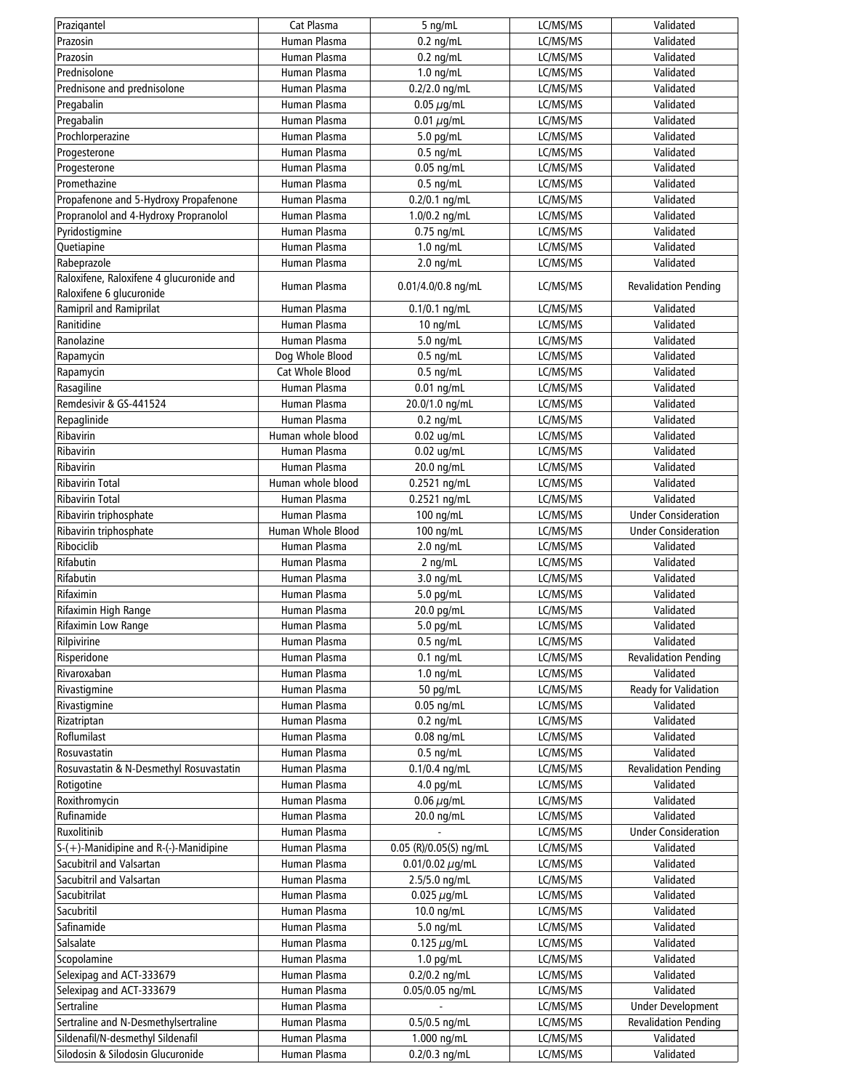| Prazigantel                              | Cat Plasma        | 5 ng/mL                | LC/MS/MS | Validated                   |
|------------------------------------------|-------------------|------------------------|----------|-----------------------------|
| Prazosin                                 | Human Plasma      | $0.2$ ng/mL            | LC/MS/MS | Validated                   |
| Prazosin                                 | Human Plasma      | $0.2$ ng/mL            | LC/MS/MS | Validated                   |
| Prednisolone                             | Human Plasma      | $1.0$ ng/mL            | LC/MS/MS | Validated                   |
| Prednisone and prednisolone              | Human Plasma      | $0.2/2.0$ ng/mL        | LC/MS/MS | Validated                   |
| Pregabalin                               | Human Plasma      | $0.05 \mu$ g/mL        | LC/MS/MS | Validated                   |
| Pregabalin                               | Human Plasma      | $0.01 \mu q/mL$        | LC/MS/MS | Validated                   |
| Prochlorperazine                         | Human Plasma      | 5.0 pg/mL              | LC/MS/MS | Validated                   |
| Progesterone                             | Human Plasma      | $0.5$ ng/mL            | LC/MS/MS | Validated                   |
| Progesterone                             | Human Plasma      | $0.05$ ng/mL           | LC/MS/MS | Validated                   |
| Promethazine                             | Human Plasma      | $0.5$ ng/mL            | LC/MS/MS | Validated                   |
| Propafenone and 5-Hydroxy Propafenone    | Human Plasma      | 0.2/0.1 ng/mL          | LC/MS/MS | Validated                   |
| Propranolol and 4-Hydroxy Propranolol    | Human Plasma      | 1.0/0.2 ng/mL          | LC/MS/MS | Validated                   |
| Pyridostigmine                           | Human Plasma      | $0.75$ ng/mL           | LC/MS/MS | Validated                   |
| Quetiapine                               | Human Plasma      | $1.0$ ng/mL            | LC/MS/MS | Validated                   |
| Rabeprazole                              | Human Plasma      | $2.0$ ng/mL            | LC/MS/MS | Validated                   |
| Raloxifene, Raloxifene 4 glucuronide and |                   |                        |          |                             |
| Raloxifene 6 glucuronide                 | Human Plasma      | 0.01/4.0/0.8 ng/mL     | LC/MS/MS | <b>Revalidation Pending</b> |
| Ramipril and Ramiprilat                  | Human Plasma      | $0.1/0.1$ ng/mL        | LC/MS/MS | Validated                   |
| Ranitidine                               | Human Plasma      | $10$ ng/mL             | LC/MS/MS | Validated                   |
| Ranolazine                               | Human Plasma      | $5.0$ ng/mL            | LC/MS/MS | Validated                   |
| Rapamycin                                | Dog Whole Blood   | $0.5$ ng/mL            | LC/MS/MS | Validated                   |
| Rapamycin                                | Cat Whole Blood   | $0.5$ ng/mL            | LC/MS/MS | Validated                   |
| Rasagiline                               | Human Plasma      | $0.01$ ng/mL           | LC/MS/MS | Validated                   |
| Remdesivir & GS-441524                   | Human Plasma      | 20.0/1.0 ng/mL         | LC/MS/MS | Validated                   |
|                                          | Human Plasma      |                        |          | Validated                   |
| Repaglinide<br>Ribavirin                 |                   | $0.2$ ng/mL            | LC/MS/MS |                             |
|                                          | Human whole blood | $0.02$ ug/mL           | LC/MS/MS | Validated                   |
| Ribavirin                                | Human Plasma      | $0.02$ ug/mL           | LC/MS/MS | Validated                   |
| Ribavirin                                | Human Plasma      | 20.0 ng/mL             | LC/MS/MS | Validated                   |
| <b>Ribavirin Total</b>                   | Human whole blood | 0.2521 ng/mL           | LC/MS/MS | Validated                   |
| <b>Ribavirin Total</b>                   | Human Plasma      | 0.2521 ng/mL           | LC/MS/MS | Validated                   |
| Ribavirin triphosphate                   | Human Plasma      | 100 ng/mL              | LC/MS/MS | <b>Under Consideration</b>  |
| Ribavirin triphosphate                   | Human Whole Blood | 100 ng/mL              | LC/MS/MS | <b>Under Consideration</b>  |
| Ribociclib                               | Human Plasma      | $2.0$ ng/mL            | LC/MS/MS | Validated                   |
| Rifabutin                                | Human Plasma      | $2$ ng/mL              | LC/MS/MS | Validated                   |
| Rifabutin                                | Human Plasma      | $3.0$ ng/mL            | LC/MS/MS | Validated                   |
| Rifaximin                                | Human Plasma      | 5.0 pg/mL              | LC/MS/MS | Validated                   |
| Rifaximin High Range                     | Human Plasma      | 20.0 pg/mL             | LC/MS/MS | Validated                   |
| Rifaximin Low Range                      | Human Plasma      | 5.0 pg/mL              | LC/MS/MS | Validated                   |
| Rilpivirine                              | Human Plasma      | $0.5$ ng/mL            | LC/MS/MS | Validated                   |
| Risperidone                              | Human Plasma      | $0.1$ ng/mL            | LC/MS/MS | <b>Revalidation Pending</b> |
| Rivaroxaban                              | Human Plasma      | $1.0$ ng/mL            | LC/MS/MS | Validated                   |
| Rivastigmine                             | Human Plasma      | 50 pg/mL               | LC/MS/MS | Ready for Validation        |
| Rivastigmine                             | Human Plasma      | $0.05$ ng/mL           | LC/MS/MS | Validated                   |
| Rizatriptan                              | Human Plasma      | $0.2$ ng/mL            | LC/MS/MS | Validated                   |
| Roflumilast                              | Human Plasma      | $0.08$ ng/mL           | LC/MS/MS | Validated                   |
| Rosuvastatin                             | Human Plasma      | $0.5$ ng/mL            | LC/MS/MS | Validated                   |
| Rosuvastatin & N-Desmethyl Rosuvastatin  | Human Plasma      | $0.1/0.4$ ng/mL        | LC/MS/MS | <b>Revalidation Pending</b> |
| Rotigotine                               | Human Plasma      | $4.0$ pg/mL            | LC/MS/MS | Validated                   |
| Roxithromycin                            | Human Plasma      | $0.06 \,\mu$ g/mL      | LC/MS/MS | Validated                   |
| Rufinamide                               | Human Plasma      | 20.0 ng/mL             | LC/MS/MS | Validated                   |
| Ruxolitinib                              | Human Plasma      |                        | LC/MS/MS | <b>Under Consideration</b>  |
| $S-(+)$ -Manidipine and R-(-)-Manidipine | Human Plasma      | 0.05 (R)/0.05(S) ng/mL | LC/MS/MS | Validated                   |
| Sacubitril and Valsartan                 | Human Plasma      | 0.01/0.02 $\mu$ g/mL   | LC/MS/MS | Validated                   |
| Sacubitril and Valsartan                 | Human Plasma      | $2.5/5.0$ ng/mL        | LC/MS/MS | Validated                   |
| Sacubitrilat                             | Human Plasma      | $0.025 \mu$ g/mL       | LC/MS/MS | Validated                   |
| Sacubritil                               | Human Plasma      | $10.0$ ng/mL           | LC/MS/MS | Validated                   |
| Safinamide                               | Human Plasma      | $5.0$ ng/mL            | LC/MS/MS | Validated                   |
| Salsalate                                | Human Plasma      | 0.125 $\mu$ g/mL       | LC/MS/MS | Validated                   |
| Scopolamine                              | Human Plasma      | $1.0$ pg/mL            | LC/MS/MS | Validated                   |
| Selexipag and ACT-333679                 | Human Plasma      | $0.2/0.2$ ng/mL        | LC/MS/MS | Validated                   |
| Selexipag and ACT-333679                 | Human Plasma      | 0.05/0.05 ng/mL        | LC/MS/MS | Validated                   |
| Sertraline                               | Human Plasma      |                        | LC/MS/MS | <b>Under Development</b>    |
| Sertraline and N-Desmethylsertraline     | Human Plasma      | 0.5/0.5 ng/mL          | LC/MS/MS | <b>Revalidation Pending</b> |
| Sildenafil/N-desmethyl Sildenafil        | Human Plasma      | 1.000 ng/mL            | LC/MS/MS | Validated                   |
| Silodosin & Silodosin Glucuronide        | Human Plasma      | 0.2/0.3 ng/mL          | LC/MS/MS | Validated                   |
|                                          |                   |                        |          |                             |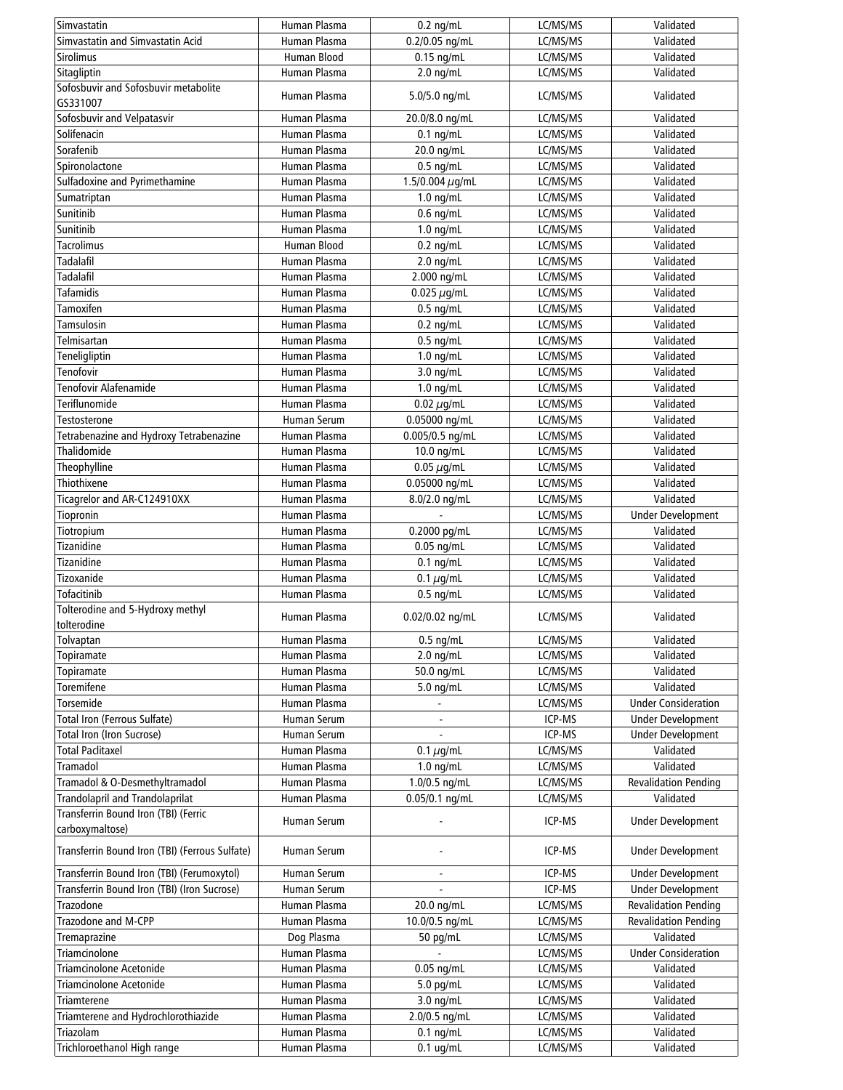| Simvastatin                                      | Human Plasma                 | $0.2$ ng/mL          | LC/MS/MS | Validated                   |
|--------------------------------------------------|------------------------------|----------------------|----------|-----------------------------|
| Simvastatin and Simvastatin Acid                 | Human Plasma                 | 0.2/0.05 ng/mL       | LC/MS/MS | Validated                   |
| <b>Sirolimus</b>                                 | Human Blood                  | $0.15$ ng/mL         | LC/MS/MS | Validated                   |
| Sitagliptin                                      | Human Plasma                 | $2.0$ ng/mL          | LC/MS/MS | Validated                   |
| Sofosbuvir and Sofosbuvir metabolite<br>GS331007 | Human Plasma                 | 5.0/5.0 ng/mL        | LC/MS/MS | Validated                   |
| Sofosbuvir and Velpatasvir                       | Human Plasma                 | 20.0/8.0 ng/mL       | LC/MS/MS | Validated                   |
| Solifenacin                                      | Human Plasma                 | $0.1$ ng/mL          | LC/MS/MS | Validated                   |
| Sorafenib                                        | Human Plasma                 | 20.0 ng/mL           | LC/MS/MS | Validated                   |
| Spironolactone                                   | Human Plasma                 | $0.5$ ng/mL          | LC/MS/MS | Validated                   |
| Sulfadoxine and Pyrimethamine                    | Human Plasma                 | 1.5/0.004 $\mu$ g/mL | LC/MS/MS | Validated                   |
| Sumatriptan                                      | Human Plasma                 | $1.0$ ng/mL          | LC/MS/MS | Validated                   |
| Sunitinib                                        | Human Plasma                 | $0.6$ ng/mL          | LC/MS/MS | Validated                   |
| Sunitinib                                        | Human Plasma                 | $1.0$ ng/mL          | LC/MS/MS | Validated                   |
| <b>Tacrolimus</b>                                | Human Blood                  | $0.2$ ng/mL          | LC/MS/MS | Validated                   |
| <b>Tadalafil</b>                                 | Human Plasma                 |                      | LC/MS/MS | Validated                   |
|                                                  |                              | $2.0$ ng/mL          |          |                             |
| <b>Tadalafil</b><br><b>Tafamidis</b>             | Human Plasma<br>Human Plasma | 2.000 ng/mL          | LC/MS/MS | Validated                   |
|                                                  |                              | 0.025 $\mu$ g/mL     | LC/MS/MS | Validated                   |
| Tamoxifen                                        | Human Plasma                 | $0.5$ ng/mL          | LC/MS/MS | Validated                   |
| Tamsulosin                                       | Human Plasma                 | $0.2$ ng/mL          | LC/MS/MS | Validated                   |
| Telmisartan                                      | Human Plasma                 | $0.5$ ng/mL          | LC/MS/MS | Validated                   |
| Teneligliptin                                    | Human Plasma                 | $1.0$ ng/mL          | LC/MS/MS | Validated                   |
| Tenofovir                                        | Human Plasma                 | 3.0 ng/mL            | LC/MS/MS | Validated                   |
| Tenofovir Alafenamide                            | Human Plasma                 | $1.0$ ng/mL          | LC/MS/MS | Validated                   |
| Teriflunomide                                    | Human Plasma                 | $0.02 \ \mu$ g/mL    | LC/MS/MS | Validated                   |
| Testosterone                                     | <b>Human Serum</b>           | 0.05000 ng/mL        | LC/MS/MS | Validated                   |
| Tetrabenazine and Hydroxy Tetrabenazine          | Human Plasma                 | 0.005/0.5 ng/mL      | LC/MS/MS | Validated                   |
| Thalidomide                                      | Human Plasma                 | $10.0$ ng/mL         | LC/MS/MS | Validated                   |
| Theophylline                                     | Human Plasma                 | $0.05 \,\mu$ g/mL    | LC/MS/MS | Validated                   |
| Thiothixene                                      | Human Plasma                 | 0.05000 ng/mL        | LC/MS/MS | Validated                   |
| Ticagrelor and AR-C124910XX                      | Human Plasma                 | 8.0/2.0 ng/mL        | LC/MS/MS | Validated                   |
| Tiopronin                                        | Human Plasma                 |                      | LC/MS/MS | <b>Under Development</b>    |
| Tiotropium                                       | Human Plasma                 | 0.2000 pg/mL         | LC/MS/MS | Validated                   |
| Tizanidine                                       | Human Plasma                 | $0.05$ ng/mL         | LC/MS/MS | Validated                   |
| Tizanidine                                       | Human Plasma                 | $0.1$ ng/mL          | LC/MS/MS | Validated                   |
| Tizoxanide                                       | Human Plasma                 | 0.1 $\mu$ g/mL       | LC/MS/MS | Validated                   |
| Tofacitinib                                      | Human Plasma                 | $0.5$ ng/mL          | LC/MS/MS | Validated                   |
| Tolterodine and 5-Hydroxy methyl                 |                              |                      |          |                             |
| tolterodine                                      | Human Plasma                 | 0.02/0.02 ng/mL      | LC/MS/MS | Validated                   |
| Tolvaptan                                        | Human Plasma                 | $0.5$ ng/mL          | LC/MS/MS | Validated                   |
| Topiramate                                       | Human Plasma                 | $2.0$ ng/mL          | LC/MS/MS | Validated                   |
| Topiramate                                       | Human Plasma                 | 50.0 ng/mL           | LC/MS/MS | Validated                   |
| Toremifene                                       | Human Plasma                 | 5.0 ng/mL            | LC/MS/MS | Validated                   |
| Torsemide                                        | Human Plasma                 |                      | LC/MS/MS | <b>Under Consideration</b>  |
| Total Iron (Ferrous Sulfate)                     | Human Serum                  |                      | ICP-MS   | <b>Under Development</b>    |
| Total Iron (Iron Sucrose)                        | <b>Human Serum</b>           |                      | ICP-MS   | <b>Under Development</b>    |
| <b>Total Paclitaxel</b>                          | Human Plasma                 | 0.1 $\mu$ g/mL       | LC/MS/MS | Validated                   |
| Tramadol                                         | Human Plasma                 | $1.0$ ng/mL          | LC/MS/MS | Validated                   |
| Tramadol & O-Desmethyltramadol                   | Human Plasma                 | 1.0/0.5 ng/mL        | LC/MS/MS | <b>Revalidation Pending</b> |
| <b>Trandolapril and Trandolaprilat</b>           | Human Plasma                 | $0.05/0.1$ ng/mL     | LC/MS/MS | Validated                   |
| Transferrin Bound Iron (TBI) (Ferric             |                              |                      |          |                             |
| carboxymaltose)                                  | Human Serum                  |                      | ICP-MS   | <b>Under Development</b>    |
| Transferrin Bound Iron (TBI) (Ferrous Sulfate)   | Human Serum                  |                      | ICP-MS   | <b>Under Development</b>    |
| Transferrin Bound Iron (TBI) (Ferumoxytol)       | Human Serum                  |                      | ICP-MS   | <b>Under Development</b>    |
| Transferrin Bound Iron (TBI) (Iron Sucrose)      | Human Serum                  |                      | ICP-MS   | <b>Under Development</b>    |
| Trazodone                                        | Human Plasma                 | 20.0 ng/mL           | LC/MS/MS | <b>Revalidation Pending</b> |
| Trazodone and M-CPP                              | Human Plasma                 | 10.0/0.5 ng/mL       | LC/MS/MS | <b>Revalidation Pending</b> |
| Tremaprazine                                     | Dog Plasma                   | 50 pg/mL             | LC/MS/MS | Validated                   |
| Triamcinolone                                    | Human Plasma                 |                      | LC/MS/MS | <b>Under Consideration</b>  |
| <b>Triamcinolone Acetonide</b>                   | Human Plasma                 | $0.05$ ng/mL         | LC/MS/MS | Validated                   |
| <b>Triamcinolone Acetonide</b>                   | Human Plasma                 | 5.0 pg/mL            | LC/MS/MS | Validated                   |
| Triamterene                                      | Human Plasma                 | 3.0 ng/mL            | LC/MS/MS | Validated                   |
| Triamterene and Hydrochlorothiazide              | Human Plasma                 | 2.0/0.5 ng/mL        | LC/MS/MS | Validated                   |
| Triazolam                                        | Human Plasma                 | $0.1$ ng/mL          | LC/MS/MS | Validated                   |
| Trichloroethanol High range                      | Human Plasma                 | $0.1$ ug/mL          | LC/MS/MS | Validated                   |
|                                                  |                              |                      |          |                             |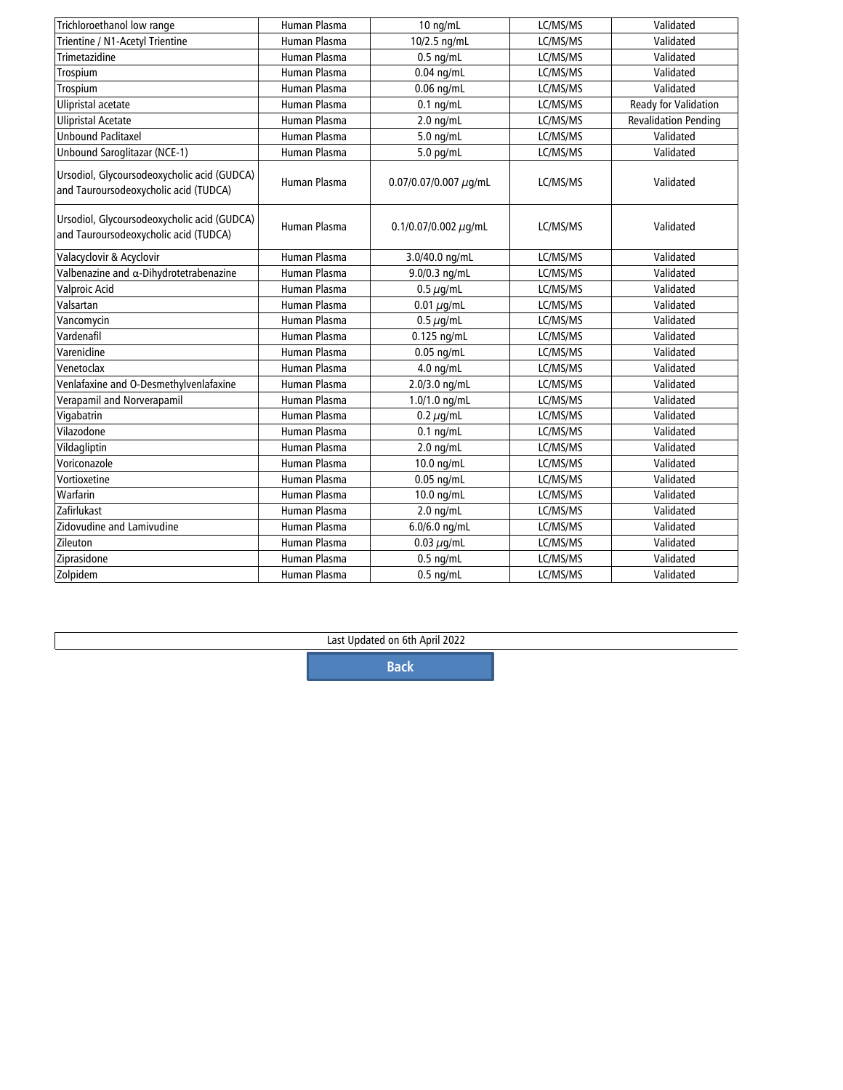| Trichloroethanol low range                                                           | Human Plasma        | 10 ng/mL                   | LC/MS/MS | Validated                   |
|--------------------------------------------------------------------------------------|---------------------|----------------------------|----------|-----------------------------|
| Trientine / N1-Acetyl Trientine                                                      | Human Plasma        | 10/2.5 ng/mL               | LC/MS/MS | Validated                   |
| Trimetazidine                                                                        | Human Plasma        | $0.5$ ng/mL                | LC/MS/MS | Validated                   |
| Trospium                                                                             | Human Plasma        | $0.04$ ng/mL               | LC/MS/MS | Validated                   |
| Trospium                                                                             | Human Plasma        | $0.06$ ng/mL               | LC/MS/MS | Validated                   |
| Ulipristal acetate                                                                   | Human Plasma        | $0.1$ ng/mL                | LC/MS/MS | Ready for Validation        |
| <b>Ulipristal Acetate</b>                                                            | <b>Human Plasma</b> | $2.0$ ng/mL                | LC/MS/MS | <b>Revalidation Pending</b> |
| <b>Unbound Paclitaxel</b>                                                            | Human Plasma        | $5.0$ ng/mL                | LC/MS/MS | Validated                   |
| Unbound Saroglitazar (NCE-1)                                                         | <b>Human Plasma</b> | 5.0 pg/mL                  | LC/MS/MS | Validated                   |
| Ursodiol, Glycoursodeoxycholic acid (GUDCA)<br>and Tauroursodeoxycholic acid (TUDCA) | Human Plasma        | 0.07/0.07/0.007 $\mu$ g/mL | LC/MS/MS | Validated                   |
| Ursodiol, Glycoursodeoxycholic acid (GUDCA)<br>and Tauroursodeoxycholic acid (TUDCA) | Human Plasma        | $0.1/0.07/0.002 \mu q/mL$  | LC/MS/MS | Validated                   |
| Valacyclovir & Acyclovir                                                             | Human Plasma        | 3.0/40.0 ng/mL             | LC/MS/MS | Validated                   |
| Valbenazine and a-Dihydrotetrabenazine                                               | Human Plasma        | 9.0/0.3 ng/mL              | LC/MS/MS | Validated                   |
| <b>Valproic Acid</b>                                                                 | <b>Human Plasma</b> | $0.5 \mu$ g/mL             | LC/MS/MS | Validated                   |
| Valsartan                                                                            | <b>Human Plasma</b> | $0.01 \mu$ g/mL            | LC/MS/MS | Validated                   |
| Vancomycin                                                                           | Human Plasma        | $0.5 \mu$ g/mL             | LC/MS/MS | Validated                   |
| Vardenafil                                                                           | Human Plasma        | $0.125$ ng/mL              | LC/MS/MS | Validated                   |
| Varenicline                                                                          | Human Plasma        | $0.05$ ng/mL               | LC/MS/MS | Validated                   |
| Venetoclax                                                                           | Human Plasma        | $4.0$ ng/mL                | LC/MS/MS | Validated                   |
| Venlafaxine and O-Desmethylvenlafaxine                                               | Human Plasma        | 2.0/3.0 ng/mL              | LC/MS/MS | Validated                   |
| Verapamil and Norverapamil                                                           | Human Plasma        | $1.0/1.0$ ng/mL            | LC/MS/MS | Validated                   |
| Vigabatrin                                                                           | Human Plasma        | $0.2 \mu$ g/mL             | LC/MS/MS | Validated                   |
| Vilazodone                                                                           | <b>Human Plasma</b> | $0.1$ ng/mL                | LC/MS/MS | Validated                   |
| Vildagliptin                                                                         | <b>Human Plasma</b> | $2.0$ ng/mL                | LC/MS/MS | Validated                   |
| Voriconazole                                                                         | <b>Human Plasma</b> | 10.0 ng/mL                 | LC/MS/MS | Validated                   |
| Vortioxetine                                                                         | Human Plasma        | $0.05$ ng/mL               | LC/MS/MS | Validated                   |
| Warfarin                                                                             | Human Plasma        | 10.0 ng/mL                 | LC/MS/MS | Validated                   |
| Zafirlukast                                                                          | Human Plasma        | $2.0$ ng/mL                | LC/MS/MS | Validated                   |
| Zidovudine and Lamivudine                                                            | Human Plasma        | 6.0/6.0 ng/mL              | LC/MS/MS | Validated                   |
| Zileuton                                                                             | Human Plasma        | $0.03 \mu$ g/mL            | LC/MS/MS | Validated                   |
| Ziprasidone                                                                          | Human Plasma        | $0.5$ ng/mL                | LC/MS/MS | Validated                   |
| Zolpidem                                                                             | Human Plasma        | $0.5$ ng/mL                | LC/MS/MS | Validated                   |

Last Updated on 6th April 2022

**[Back](#page-0-0)**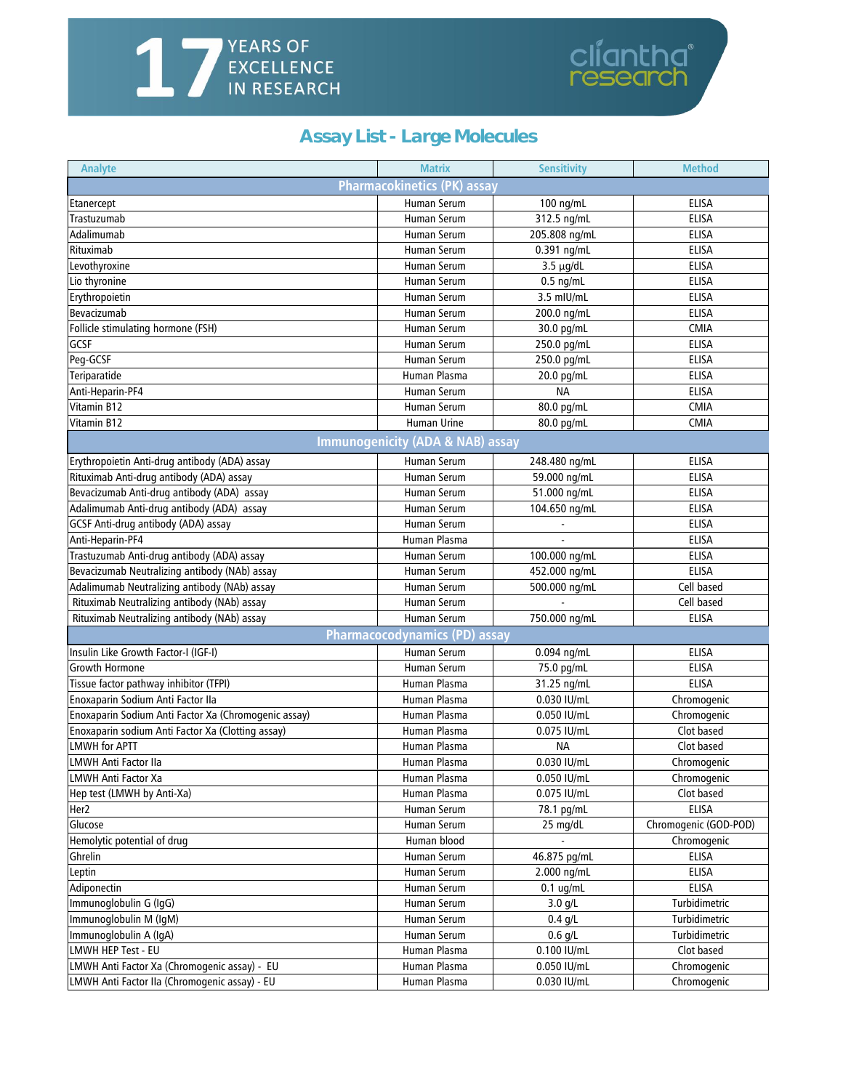## <span id="page-11-0"></span>**YEARS OF<br>EXCELLENCE<br>IN RESEARCH** 17

## **Assay List - Large Molecules**

cliantha<sup>®</sup><br>research

| <b>Pharmacokinetics (PK) assay</b><br>Human Serum<br>100 ng/mL<br><b>ELISA</b><br>Etanercept<br><b>ELISA</b><br>Trastuzumab<br>Human Serum<br>312.5 ng/mL<br>Adalimumab<br><b>ELISA</b><br><b>Human Serum</b><br>205.808 ng/mL<br>Rituximab<br>ELISA<br>0.391 ng/mL<br><b>Human Serum</b><br>Levothyroxine<br>ELISA<br>Human Serum<br>$3.5 \mu g/dL$<br>Lio thyronine<br>Human Serum<br>$0.5$ ng/mL<br><b>ELISA</b><br>Erythropoietin<br>Human Serum<br>3.5 mIU/mL<br><b>ELISA</b><br>Bevacizumab<br><b>Human Serum</b><br>200.0 ng/mL<br><b>ELISA</b><br>Follicle stimulating hormone (FSH)<br>CMIA<br><b>Human Serum</b><br>30.0 pg/mL<br>GCSF<br>250.0 pg/mL<br><b>ELISA</b><br>Human Serum<br>Peg-GCSF<br><b>ELISA</b><br>Human Serum<br>250.0 pg/mL<br>Teriparatide<br><b>ELISA</b><br>Human Plasma<br>20.0 pg/mL<br>Anti-Heparin-PF4<br><b>NA</b><br><b>ELISA</b><br><b>Human Serum</b><br>Vitamin B12<br>80.0 pg/mL<br><b>CMIA</b><br>Human Serum<br>Vitamin B12<br>Human Urine<br>80.0 pg/mL<br><b>CMIA</b><br><b>Immunogenicity (ADA &amp; NAB) assay</b><br>Erythropoietin Anti-drug antibody (ADA) assay<br><b>Human Serum</b><br><b>ELISA</b><br>248.480 ng/mL<br>Rituximab Anti-drug antibody (ADA) assay<br><b>Human Serum</b><br>59.000 ng/mL<br><b>ELISA</b><br>Bevacizumab Anti-drug antibody (ADA) assay<br>51.000 ng/mL<br><b>ELISA</b><br>Human Serum<br>Adalimumab Anti-drug antibody (ADA) assay<br><b>ELISA</b><br>Human Serum<br>104.650 ng/mL<br>GCSF Anti-drug antibody (ADA) assay<br><b>Human Serum</b><br><b>ELISA</b><br>Anti-Heparin-PF4<br><b>ELISA</b><br>Human Plasma<br>Trastuzumab Anti-drug antibody (ADA) assay<br>ELISA<br>100.000 ng/mL<br>Human Serum<br>Bevacizumab Neutralizing antibody (NAb) assay<br><b>ELISA</b><br>Human Serum<br>452.000 ng/mL<br>Cell based<br>Adalimumab Neutralizing antibody (NAb) assay<br>Human Serum<br>500.000 ng/mL<br>Rituximab Neutralizing antibody (NAb) assay<br>Cell based<br>Human Serum<br>Rituximab Neutralizing antibody (NAb) assay<br><b>Human Serum</b><br>750.000 ng/mL<br><b>ELISA</b><br>Pharmacocodynamics (PD) assay<br>Insulin Like Growth Factor-I (IGF-I)<br>Human Serum<br><b>ELISA</b><br>0.094 ng/mL<br><b>ELISA</b><br>Growth Hormone<br>Human Serum<br>75.0 pg/mL<br>Tissue factor pathway inhibitor (TFPI)<br><b>ELISA</b><br>Human Plasma<br>31.25 ng/mL<br>Chromogenic<br>Enoxaparin Sodium Anti Factor IIa<br>Human Plasma<br>0.030 IU/mL<br>Enoxaparin Sodium Anti Factor Xa (Chromogenic assay)<br>Human Plasma<br>0.050 IU/mL<br>Chromogenic<br>Human Plasma<br>0.075 IU/mL<br>Enoxaparin sodium Anti Factor Xa (Clotting assay)<br>Clot based<br><b>LMWH for APTT</b><br><b>NA</b><br>Clot based<br>Human Plasma<br><b>LMWH Anti Factor IIa</b><br>0.030 IU/mL<br>Human Plasma<br>Chromogenic<br>0.050 IU/mL<br>LMWH Anti Factor Xa<br>Human Plasma<br>Chromogenic<br>Hep test (LMWH by Anti-Xa)<br>Human Plasma<br>0.075 IU/mL<br>Clot based<br>ELISA<br>78.1 pg/mL<br>Her2<br>Human Serum<br>Chromogenic (GOD-POD)<br>Glucose<br>Human Serum<br>25 mg/dL<br>Hemolytic potential of drug<br>Human blood<br>Chromogenic<br>Ghrelin<br>46.875 pg/mL<br>Human Serum<br>ELISA<br>2.000 ng/mL<br>Leptin<br>Human Serum<br><b>ELISA</b><br>Adiponectin<br><b>ELISA</b><br>Human Serum<br>$0.1$ ug/mL<br>Immunoglobulin G (IgG)<br>Turbidimetric<br>Human Serum<br>$3.0$ g/L<br>Immunoglobulin M (IgM)<br>Turbidimetric<br>Human Serum<br>$0.4$ g/L<br>Immunoglobulin A (IgA)<br>$0.6$ g/L<br>Turbidimetric<br>Human Serum<br>Clot based<br>LMWH HEP Test - EU<br>Human Plasma<br>0.100 IU/mL<br>LMWH Anti Factor Xa (Chromogenic assay) - EU<br>Human Plasma<br>0.050 IU/mL<br>Chromogenic<br>Human Plasma<br>Chromogenic<br>0.030 IU/mL | Analyte                                       | <b>Matrix</b> | <b>Sensitivity</b> | <b>Method</b> |
|-------------------------------------------------------------------------------------------------------------------------------------------------------------------------------------------------------------------------------------------------------------------------------------------------------------------------------------------------------------------------------------------------------------------------------------------------------------------------------------------------------------------------------------------------------------------------------------------------------------------------------------------------------------------------------------------------------------------------------------------------------------------------------------------------------------------------------------------------------------------------------------------------------------------------------------------------------------------------------------------------------------------------------------------------------------------------------------------------------------------------------------------------------------------------------------------------------------------------------------------------------------------------------------------------------------------------------------------------------------------------------------------------------------------------------------------------------------------------------------------------------------------------------------------------------------------------------------------------------------------------------------------------------------------------------------------------------------------------------------------------------------------------------------------------------------------------------------------------------------------------------------------------------------------------------------------------------------------------------------------------------------------------------------------------------------------------------------------------------------------------------------------------------------------------------------------------------------------------------------------------------------------------------------------------------------------------------------------------------------------------------------------------------------------------------------------------------------------------------------------------------------------------------------------------------------------------------------------------------------------------------------------------------------------------------------------------------------------------------------------------------------------------------------------------------------------------------------------------------------------------------------------------------------------------------------------------------------------------------------------------------------------------------------------------------------------------------------------------------------------------------------------------------------------------------------------------------------------------------------------------------------------------------------------------------------------------------------------------------------------------------------------------------------------------------------------------------------------------------------------------------------------------------------------------------------------------------------------------------------------------------------------------------------------------------------------------------------------------------------------------|-----------------------------------------------|---------------|--------------------|---------------|
|                                                                                                                                                                                                                                                                                                                                                                                                                                                                                                                                                                                                                                                                                                                                                                                                                                                                                                                                                                                                                                                                                                                                                                                                                                                                                                                                                                                                                                                                                                                                                                                                                                                                                                                                                                                                                                                                                                                                                                                                                                                                                                                                                                                                                                                                                                                                                                                                                                                                                                                                                                                                                                                                                                                                                                                                                                                                                                                                                                                                                                                                                                                                                                                                                                                                                                                                                                                                                                                                                                                                                                                                                                                                                                                                                 |                                               |               |                    |               |
|                                                                                                                                                                                                                                                                                                                                                                                                                                                                                                                                                                                                                                                                                                                                                                                                                                                                                                                                                                                                                                                                                                                                                                                                                                                                                                                                                                                                                                                                                                                                                                                                                                                                                                                                                                                                                                                                                                                                                                                                                                                                                                                                                                                                                                                                                                                                                                                                                                                                                                                                                                                                                                                                                                                                                                                                                                                                                                                                                                                                                                                                                                                                                                                                                                                                                                                                                                                                                                                                                                                                                                                                                                                                                                                                                 |                                               |               |                    |               |
|                                                                                                                                                                                                                                                                                                                                                                                                                                                                                                                                                                                                                                                                                                                                                                                                                                                                                                                                                                                                                                                                                                                                                                                                                                                                                                                                                                                                                                                                                                                                                                                                                                                                                                                                                                                                                                                                                                                                                                                                                                                                                                                                                                                                                                                                                                                                                                                                                                                                                                                                                                                                                                                                                                                                                                                                                                                                                                                                                                                                                                                                                                                                                                                                                                                                                                                                                                                                                                                                                                                                                                                                                                                                                                                                                 |                                               |               |                    |               |
|                                                                                                                                                                                                                                                                                                                                                                                                                                                                                                                                                                                                                                                                                                                                                                                                                                                                                                                                                                                                                                                                                                                                                                                                                                                                                                                                                                                                                                                                                                                                                                                                                                                                                                                                                                                                                                                                                                                                                                                                                                                                                                                                                                                                                                                                                                                                                                                                                                                                                                                                                                                                                                                                                                                                                                                                                                                                                                                                                                                                                                                                                                                                                                                                                                                                                                                                                                                                                                                                                                                                                                                                                                                                                                                                                 |                                               |               |                    |               |
|                                                                                                                                                                                                                                                                                                                                                                                                                                                                                                                                                                                                                                                                                                                                                                                                                                                                                                                                                                                                                                                                                                                                                                                                                                                                                                                                                                                                                                                                                                                                                                                                                                                                                                                                                                                                                                                                                                                                                                                                                                                                                                                                                                                                                                                                                                                                                                                                                                                                                                                                                                                                                                                                                                                                                                                                                                                                                                                                                                                                                                                                                                                                                                                                                                                                                                                                                                                                                                                                                                                                                                                                                                                                                                                                                 |                                               |               |                    |               |
|                                                                                                                                                                                                                                                                                                                                                                                                                                                                                                                                                                                                                                                                                                                                                                                                                                                                                                                                                                                                                                                                                                                                                                                                                                                                                                                                                                                                                                                                                                                                                                                                                                                                                                                                                                                                                                                                                                                                                                                                                                                                                                                                                                                                                                                                                                                                                                                                                                                                                                                                                                                                                                                                                                                                                                                                                                                                                                                                                                                                                                                                                                                                                                                                                                                                                                                                                                                                                                                                                                                                                                                                                                                                                                                                                 |                                               |               |                    |               |
|                                                                                                                                                                                                                                                                                                                                                                                                                                                                                                                                                                                                                                                                                                                                                                                                                                                                                                                                                                                                                                                                                                                                                                                                                                                                                                                                                                                                                                                                                                                                                                                                                                                                                                                                                                                                                                                                                                                                                                                                                                                                                                                                                                                                                                                                                                                                                                                                                                                                                                                                                                                                                                                                                                                                                                                                                                                                                                                                                                                                                                                                                                                                                                                                                                                                                                                                                                                                                                                                                                                                                                                                                                                                                                                                                 |                                               |               |                    |               |
|                                                                                                                                                                                                                                                                                                                                                                                                                                                                                                                                                                                                                                                                                                                                                                                                                                                                                                                                                                                                                                                                                                                                                                                                                                                                                                                                                                                                                                                                                                                                                                                                                                                                                                                                                                                                                                                                                                                                                                                                                                                                                                                                                                                                                                                                                                                                                                                                                                                                                                                                                                                                                                                                                                                                                                                                                                                                                                                                                                                                                                                                                                                                                                                                                                                                                                                                                                                                                                                                                                                                                                                                                                                                                                                                                 |                                               |               |                    |               |
|                                                                                                                                                                                                                                                                                                                                                                                                                                                                                                                                                                                                                                                                                                                                                                                                                                                                                                                                                                                                                                                                                                                                                                                                                                                                                                                                                                                                                                                                                                                                                                                                                                                                                                                                                                                                                                                                                                                                                                                                                                                                                                                                                                                                                                                                                                                                                                                                                                                                                                                                                                                                                                                                                                                                                                                                                                                                                                                                                                                                                                                                                                                                                                                                                                                                                                                                                                                                                                                                                                                                                                                                                                                                                                                                                 |                                               |               |                    |               |
|                                                                                                                                                                                                                                                                                                                                                                                                                                                                                                                                                                                                                                                                                                                                                                                                                                                                                                                                                                                                                                                                                                                                                                                                                                                                                                                                                                                                                                                                                                                                                                                                                                                                                                                                                                                                                                                                                                                                                                                                                                                                                                                                                                                                                                                                                                                                                                                                                                                                                                                                                                                                                                                                                                                                                                                                                                                                                                                                                                                                                                                                                                                                                                                                                                                                                                                                                                                                                                                                                                                                                                                                                                                                                                                                                 |                                               |               |                    |               |
|                                                                                                                                                                                                                                                                                                                                                                                                                                                                                                                                                                                                                                                                                                                                                                                                                                                                                                                                                                                                                                                                                                                                                                                                                                                                                                                                                                                                                                                                                                                                                                                                                                                                                                                                                                                                                                                                                                                                                                                                                                                                                                                                                                                                                                                                                                                                                                                                                                                                                                                                                                                                                                                                                                                                                                                                                                                                                                                                                                                                                                                                                                                                                                                                                                                                                                                                                                                                                                                                                                                                                                                                                                                                                                                                                 |                                               |               |                    |               |
|                                                                                                                                                                                                                                                                                                                                                                                                                                                                                                                                                                                                                                                                                                                                                                                                                                                                                                                                                                                                                                                                                                                                                                                                                                                                                                                                                                                                                                                                                                                                                                                                                                                                                                                                                                                                                                                                                                                                                                                                                                                                                                                                                                                                                                                                                                                                                                                                                                                                                                                                                                                                                                                                                                                                                                                                                                                                                                                                                                                                                                                                                                                                                                                                                                                                                                                                                                                                                                                                                                                                                                                                                                                                                                                                                 |                                               |               |                    |               |
|                                                                                                                                                                                                                                                                                                                                                                                                                                                                                                                                                                                                                                                                                                                                                                                                                                                                                                                                                                                                                                                                                                                                                                                                                                                                                                                                                                                                                                                                                                                                                                                                                                                                                                                                                                                                                                                                                                                                                                                                                                                                                                                                                                                                                                                                                                                                                                                                                                                                                                                                                                                                                                                                                                                                                                                                                                                                                                                                                                                                                                                                                                                                                                                                                                                                                                                                                                                                                                                                                                                                                                                                                                                                                                                                                 |                                               |               |                    |               |
|                                                                                                                                                                                                                                                                                                                                                                                                                                                                                                                                                                                                                                                                                                                                                                                                                                                                                                                                                                                                                                                                                                                                                                                                                                                                                                                                                                                                                                                                                                                                                                                                                                                                                                                                                                                                                                                                                                                                                                                                                                                                                                                                                                                                                                                                                                                                                                                                                                                                                                                                                                                                                                                                                                                                                                                                                                                                                                                                                                                                                                                                                                                                                                                                                                                                                                                                                                                                                                                                                                                                                                                                                                                                                                                                                 |                                               |               |                    |               |
|                                                                                                                                                                                                                                                                                                                                                                                                                                                                                                                                                                                                                                                                                                                                                                                                                                                                                                                                                                                                                                                                                                                                                                                                                                                                                                                                                                                                                                                                                                                                                                                                                                                                                                                                                                                                                                                                                                                                                                                                                                                                                                                                                                                                                                                                                                                                                                                                                                                                                                                                                                                                                                                                                                                                                                                                                                                                                                                                                                                                                                                                                                                                                                                                                                                                                                                                                                                                                                                                                                                                                                                                                                                                                                                                                 |                                               |               |                    |               |
|                                                                                                                                                                                                                                                                                                                                                                                                                                                                                                                                                                                                                                                                                                                                                                                                                                                                                                                                                                                                                                                                                                                                                                                                                                                                                                                                                                                                                                                                                                                                                                                                                                                                                                                                                                                                                                                                                                                                                                                                                                                                                                                                                                                                                                                                                                                                                                                                                                                                                                                                                                                                                                                                                                                                                                                                                                                                                                                                                                                                                                                                                                                                                                                                                                                                                                                                                                                                                                                                                                                                                                                                                                                                                                                                                 |                                               |               |                    |               |
|                                                                                                                                                                                                                                                                                                                                                                                                                                                                                                                                                                                                                                                                                                                                                                                                                                                                                                                                                                                                                                                                                                                                                                                                                                                                                                                                                                                                                                                                                                                                                                                                                                                                                                                                                                                                                                                                                                                                                                                                                                                                                                                                                                                                                                                                                                                                                                                                                                                                                                                                                                                                                                                                                                                                                                                                                                                                                                                                                                                                                                                                                                                                                                                                                                                                                                                                                                                                                                                                                                                                                                                                                                                                                                                                                 |                                               |               |                    |               |
|                                                                                                                                                                                                                                                                                                                                                                                                                                                                                                                                                                                                                                                                                                                                                                                                                                                                                                                                                                                                                                                                                                                                                                                                                                                                                                                                                                                                                                                                                                                                                                                                                                                                                                                                                                                                                                                                                                                                                                                                                                                                                                                                                                                                                                                                                                                                                                                                                                                                                                                                                                                                                                                                                                                                                                                                                                                                                                                                                                                                                                                                                                                                                                                                                                                                                                                                                                                                                                                                                                                                                                                                                                                                                                                                                 |                                               |               |                    |               |
|                                                                                                                                                                                                                                                                                                                                                                                                                                                                                                                                                                                                                                                                                                                                                                                                                                                                                                                                                                                                                                                                                                                                                                                                                                                                                                                                                                                                                                                                                                                                                                                                                                                                                                                                                                                                                                                                                                                                                                                                                                                                                                                                                                                                                                                                                                                                                                                                                                                                                                                                                                                                                                                                                                                                                                                                                                                                                                                                                                                                                                                                                                                                                                                                                                                                                                                                                                                                                                                                                                                                                                                                                                                                                                                                                 |                                               |               |                    |               |
|                                                                                                                                                                                                                                                                                                                                                                                                                                                                                                                                                                                                                                                                                                                                                                                                                                                                                                                                                                                                                                                                                                                                                                                                                                                                                                                                                                                                                                                                                                                                                                                                                                                                                                                                                                                                                                                                                                                                                                                                                                                                                                                                                                                                                                                                                                                                                                                                                                                                                                                                                                                                                                                                                                                                                                                                                                                                                                                                                                                                                                                                                                                                                                                                                                                                                                                                                                                                                                                                                                                                                                                                                                                                                                                                                 |                                               |               |                    |               |
|                                                                                                                                                                                                                                                                                                                                                                                                                                                                                                                                                                                                                                                                                                                                                                                                                                                                                                                                                                                                                                                                                                                                                                                                                                                                                                                                                                                                                                                                                                                                                                                                                                                                                                                                                                                                                                                                                                                                                                                                                                                                                                                                                                                                                                                                                                                                                                                                                                                                                                                                                                                                                                                                                                                                                                                                                                                                                                                                                                                                                                                                                                                                                                                                                                                                                                                                                                                                                                                                                                                                                                                                                                                                                                                                                 |                                               |               |                    |               |
|                                                                                                                                                                                                                                                                                                                                                                                                                                                                                                                                                                                                                                                                                                                                                                                                                                                                                                                                                                                                                                                                                                                                                                                                                                                                                                                                                                                                                                                                                                                                                                                                                                                                                                                                                                                                                                                                                                                                                                                                                                                                                                                                                                                                                                                                                                                                                                                                                                                                                                                                                                                                                                                                                                                                                                                                                                                                                                                                                                                                                                                                                                                                                                                                                                                                                                                                                                                                                                                                                                                                                                                                                                                                                                                                                 |                                               |               |                    |               |
|                                                                                                                                                                                                                                                                                                                                                                                                                                                                                                                                                                                                                                                                                                                                                                                                                                                                                                                                                                                                                                                                                                                                                                                                                                                                                                                                                                                                                                                                                                                                                                                                                                                                                                                                                                                                                                                                                                                                                                                                                                                                                                                                                                                                                                                                                                                                                                                                                                                                                                                                                                                                                                                                                                                                                                                                                                                                                                                                                                                                                                                                                                                                                                                                                                                                                                                                                                                                                                                                                                                                                                                                                                                                                                                                                 |                                               |               |                    |               |
|                                                                                                                                                                                                                                                                                                                                                                                                                                                                                                                                                                                                                                                                                                                                                                                                                                                                                                                                                                                                                                                                                                                                                                                                                                                                                                                                                                                                                                                                                                                                                                                                                                                                                                                                                                                                                                                                                                                                                                                                                                                                                                                                                                                                                                                                                                                                                                                                                                                                                                                                                                                                                                                                                                                                                                                                                                                                                                                                                                                                                                                                                                                                                                                                                                                                                                                                                                                                                                                                                                                                                                                                                                                                                                                                                 |                                               |               |                    |               |
|                                                                                                                                                                                                                                                                                                                                                                                                                                                                                                                                                                                                                                                                                                                                                                                                                                                                                                                                                                                                                                                                                                                                                                                                                                                                                                                                                                                                                                                                                                                                                                                                                                                                                                                                                                                                                                                                                                                                                                                                                                                                                                                                                                                                                                                                                                                                                                                                                                                                                                                                                                                                                                                                                                                                                                                                                                                                                                                                                                                                                                                                                                                                                                                                                                                                                                                                                                                                                                                                                                                                                                                                                                                                                                                                                 |                                               |               |                    |               |
|                                                                                                                                                                                                                                                                                                                                                                                                                                                                                                                                                                                                                                                                                                                                                                                                                                                                                                                                                                                                                                                                                                                                                                                                                                                                                                                                                                                                                                                                                                                                                                                                                                                                                                                                                                                                                                                                                                                                                                                                                                                                                                                                                                                                                                                                                                                                                                                                                                                                                                                                                                                                                                                                                                                                                                                                                                                                                                                                                                                                                                                                                                                                                                                                                                                                                                                                                                                                                                                                                                                                                                                                                                                                                                                                                 |                                               |               |                    |               |
|                                                                                                                                                                                                                                                                                                                                                                                                                                                                                                                                                                                                                                                                                                                                                                                                                                                                                                                                                                                                                                                                                                                                                                                                                                                                                                                                                                                                                                                                                                                                                                                                                                                                                                                                                                                                                                                                                                                                                                                                                                                                                                                                                                                                                                                                                                                                                                                                                                                                                                                                                                                                                                                                                                                                                                                                                                                                                                                                                                                                                                                                                                                                                                                                                                                                                                                                                                                                                                                                                                                                                                                                                                                                                                                                                 |                                               |               |                    |               |
|                                                                                                                                                                                                                                                                                                                                                                                                                                                                                                                                                                                                                                                                                                                                                                                                                                                                                                                                                                                                                                                                                                                                                                                                                                                                                                                                                                                                                                                                                                                                                                                                                                                                                                                                                                                                                                                                                                                                                                                                                                                                                                                                                                                                                                                                                                                                                                                                                                                                                                                                                                                                                                                                                                                                                                                                                                                                                                                                                                                                                                                                                                                                                                                                                                                                                                                                                                                                                                                                                                                                                                                                                                                                                                                                                 |                                               |               |                    |               |
|                                                                                                                                                                                                                                                                                                                                                                                                                                                                                                                                                                                                                                                                                                                                                                                                                                                                                                                                                                                                                                                                                                                                                                                                                                                                                                                                                                                                                                                                                                                                                                                                                                                                                                                                                                                                                                                                                                                                                                                                                                                                                                                                                                                                                                                                                                                                                                                                                                                                                                                                                                                                                                                                                                                                                                                                                                                                                                                                                                                                                                                                                                                                                                                                                                                                                                                                                                                                                                                                                                                                                                                                                                                                                                                                                 |                                               |               |                    |               |
|                                                                                                                                                                                                                                                                                                                                                                                                                                                                                                                                                                                                                                                                                                                                                                                                                                                                                                                                                                                                                                                                                                                                                                                                                                                                                                                                                                                                                                                                                                                                                                                                                                                                                                                                                                                                                                                                                                                                                                                                                                                                                                                                                                                                                                                                                                                                                                                                                                                                                                                                                                                                                                                                                                                                                                                                                                                                                                                                                                                                                                                                                                                                                                                                                                                                                                                                                                                                                                                                                                                                                                                                                                                                                                                                                 |                                               |               |                    |               |
|                                                                                                                                                                                                                                                                                                                                                                                                                                                                                                                                                                                                                                                                                                                                                                                                                                                                                                                                                                                                                                                                                                                                                                                                                                                                                                                                                                                                                                                                                                                                                                                                                                                                                                                                                                                                                                                                                                                                                                                                                                                                                                                                                                                                                                                                                                                                                                                                                                                                                                                                                                                                                                                                                                                                                                                                                                                                                                                                                                                                                                                                                                                                                                                                                                                                                                                                                                                                                                                                                                                                                                                                                                                                                                                                                 |                                               |               |                    |               |
|                                                                                                                                                                                                                                                                                                                                                                                                                                                                                                                                                                                                                                                                                                                                                                                                                                                                                                                                                                                                                                                                                                                                                                                                                                                                                                                                                                                                                                                                                                                                                                                                                                                                                                                                                                                                                                                                                                                                                                                                                                                                                                                                                                                                                                                                                                                                                                                                                                                                                                                                                                                                                                                                                                                                                                                                                                                                                                                                                                                                                                                                                                                                                                                                                                                                                                                                                                                                                                                                                                                                                                                                                                                                                                                                                 |                                               |               |                    |               |
|                                                                                                                                                                                                                                                                                                                                                                                                                                                                                                                                                                                                                                                                                                                                                                                                                                                                                                                                                                                                                                                                                                                                                                                                                                                                                                                                                                                                                                                                                                                                                                                                                                                                                                                                                                                                                                                                                                                                                                                                                                                                                                                                                                                                                                                                                                                                                                                                                                                                                                                                                                                                                                                                                                                                                                                                                                                                                                                                                                                                                                                                                                                                                                                                                                                                                                                                                                                                                                                                                                                                                                                                                                                                                                                                                 |                                               |               |                    |               |
|                                                                                                                                                                                                                                                                                                                                                                                                                                                                                                                                                                                                                                                                                                                                                                                                                                                                                                                                                                                                                                                                                                                                                                                                                                                                                                                                                                                                                                                                                                                                                                                                                                                                                                                                                                                                                                                                                                                                                                                                                                                                                                                                                                                                                                                                                                                                                                                                                                                                                                                                                                                                                                                                                                                                                                                                                                                                                                                                                                                                                                                                                                                                                                                                                                                                                                                                                                                                                                                                                                                                                                                                                                                                                                                                                 |                                               |               |                    |               |
|                                                                                                                                                                                                                                                                                                                                                                                                                                                                                                                                                                                                                                                                                                                                                                                                                                                                                                                                                                                                                                                                                                                                                                                                                                                                                                                                                                                                                                                                                                                                                                                                                                                                                                                                                                                                                                                                                                                                                                                                                                                                                                                                                                                                                                                                                                                                                                                                                                                                                                                                                                                                                                                                                                                                                                                                                                                                                                                                                                                                                                                                                                                                                                                                                                                                                                                                                                                                                                                                                                                                                                                                                                                                                                                                                 |                                               |               |                    |               |
|                                                                                                                                                                                                                                                                                                                                                                                                                                                                                                                                                                                                                                                                                                                                                                                                                                                                                                                                                                                                                                                                                                                                                                                                                                                                                                                                                                                                                                                                                                                                                                                                                                                                                                                                                                                                                                                                                                                                                                                                                                                                                                                                                                                                                                                                                                                                                                                                                                                                                                                                                                                                                                                                                                                                                                                                                                                                                                                                                                                                                                                                                                                                                                                                                                                                                                                                                                                                                                                                                                                                                                                                                                                                                                                                                 |                                               |               |                    |               |
|                                                                                                                                                                                                                                                                                                                                                                                                                                                                                                                                                                                                                                                                                                                                                                                                                                                                                                                                                                                                                                                                                                                                                                                                                                                                                                                                                                                                                                                                                                                                                                                                                                                                                                                                                                                                                                                                                                                                                                                                                                                                                                                                                                                                                                                                                                                                                                                                                                                                                                                                                                                                                                                                                                                                                                                                                                                                                                                                                                                                                                                                                                                                                                                                                                                                                                                                                                                                                                                                                                                                                                                                                                                                                                                                                 |                                               |               |                    |               |
|                                                                                                                                                                                                                                                                                                                                                                                                                                                                                                                                                                                                                                                                                                                                                                                                                                                                                                                                                                                                                                                                                                                                                                                                                                                                                                                                                                                                                                                                                                                                                                                                                                                                                                                                                                                                                                                                                                                                                                                                                                                                                                                                                                                                                                                                                                                                                                                                                                                                                                                                                                                                                                                                                                                                                                                                                                                                                                                                                                                                                                                                                                                                                                                                                                                                                                                                                                                                                                                                                                                                                                                                                                                                                                                                                 |                                               |               |                    |               |
|                                                                                                                                                                                                                                                                                                                                                                                                                                                                                                                                                                                                                                                                                                                                                                                                                                                                                                                                                                                                                                                                                                                                                                                                                                                                                                                                                                                                                                                                                                                                                                                                                                                                                                                                                                                                                                                                                                                                                                                                                                                                                                                                                                                                                                                                                                                                                                                                                                                                                                                                                                                                                                                                                                                                                                                                                                                                                                                                                                                                                                                                                                                                                                                                                                                                                                                                                                                                                                                                                                                                                                                                                                                                                                                                                 |                                               |               |                    |               |
|                                                                                                                                                                                                                                                                                                                                                                                                                                                                                                                                                                                                                                                                                                                                                                                                                                                                                                                                                                                                                                                                                                                                                                                                                                                                                                                                                                                                                                                                                                                                                                                                                                                                                                                                                                                                                                                                                                                                                                                                                                                                                                                                                                                                                                                                                                                                                                                                                                                                                                                                                                                                                                                                                                                                                                                                                                                                                                                                                                                                                                                                                                                                                                                                                                                                                                                                                                                                                                                                                                                                                                                                                                                                                                                                                 |                                               |               |                    |               |
|                                                                                                                                                                                                                                                                                                                                                                                                                                                                                                                                                                                                                                                                                                                                                                                                                                                                                                                                                                                                                                                                                                                                                                                                                                                                                                                                                                                                                                                                                                                                                                                                                                                                                                                                                                                                                                                                                                                                                                                                                                                                                                                                                                                                                                                                                                                                                                                                                                                                                                                                                                                                                                                                                                                                                                                                                                                                                                                                                                                                                                                                                                                                                                                                                                                                                                                                                                                                                                                                                                                                                                                                                                                                                                                                                 |                                               |               |                    |               |
|                                                                                                                                                                                                                                                                                                                                                                                                                                                                                                                                                                                                                                                                                                                                                                                                                                                                                                                                                                                                                                                                                                                                                                                                                                                                                                                                                                                                                                                                                                                                                                                                                                                                                                                                                                                                                                                                                                                                                                                                                                                                                                                                                                                                                                                                                                                                                                                                                                                                                                                                                                                                                                                                                                                                                                                                                                                                                                                                                                                                                                                                                                                                                                                                                                                                                                                                                                                                                                                                                                                                                                                                                                                                                                                                                 |                                               |               |                    |               |
|                                                                                                                                                                                                                                                                                                                                                                                                                                                                                                                                                                                                                                                                                                                                                                                                                                                                                                                                                                                                                                                                                                                                                                                                                                                                                                                                                                                                                                                                                                                                                                                                                                                                                                                                                                                                                                                                                                                                                                                                                                                                                                                                                                                                                                                                                                                                                                                                                                                                                                                                                                                                                                                                                                                                                                                                                                                                                                                                                                                                                                                                                                                                                                                                                                                                                                                                                                                                                                                                                                                                                                                                                                                                                                                                                 |                                               |               |                    |               |
|                                                                                                                                                                                                                                                                                                                                                                                                                                                                                                                                                                                                                                                                                                                                                                                                                                                                                                                                                                                                                                                                                                                                                                                                                                                                                                                                                                                                                                                                                                                                                                                                                                                                                                                                                                                                                                                                                                                                                                                                                                                                                                                                                                                                                                                                                                                                                                                                                                                                                                                                                                                                                                                                                                                                                                                                                                                                                                                                                                                                                                                                                                                                                                                                                                                                                                                                                                                                                                                                                                                                                                                                                                                                                                                                                 |                                               |               |                    |               |
|                                                                                                                                                                                                                                                                                                                                                                                                                                                                                                                                                                                                                                                                                                                                                                                                                                                                                                                                                                                                                                                                                                                                                                                                                                                                                                                                                                                                                                                                                                                                                                                                                                                                                                                                                                                                                                                                                                                                                                                                                                                                                                                                                                                                                                                                                                                                                                                                                                                                                                                                                                                                                                                                                                                                                                                                                                                                                                                                                                                                                                                                                                                                                                                                                                                                                                                                                                                                                                                                                                                                                                                                                                                                                                                                                 |                                               |               |                    |               |
|                                                                                                                                                                                                                                                                                                                                                                                                                                                                                                                                                                                                                                                                                                                                                                                                                                                                                                                                                                                                                                                                                                                                                                                                                                                                                                                                                                                                                                                                                                                                                                                                                                                                                                                                                                                                                                                                                                                                                                                                                                                                                                                                                                                                                                                                                                                                                                                                                                                                                                                                                                                                                                                                                                                                                                                                                                                                                                                                                                                                                                                                                                                                                                                                                                                                                                                                                                                                                                                                                                                                                                                                                                                                                                                                                 |                                               |               |                    |               |
|                                                                                                                                                                                                                                                                                                                                                                                                                                                                                                                                                                                                                                                                                                                                                                                                                                                                                                                                                                                                                                                                                                                                                                                                                                                                                                                                                                                                                                                                                                                                                                                                                                                                                                                                                                                                                                                                                                                                                                                                                                                                                                                                                                                                                                                                                                                                                                                                                                                                                                                                                                                                                                                                                                                                                                                                                                                                                                                                                                                                                                                                                                                                                                                                                                                                                                                                                                                                                                                                                                                                                                                                                                                                                                                                                 |                                               |               |                    |               |
|                                                                                                                                                                                                                                                                                                                                                                                                                                                                                                                                                                                                                                                                                                                                                                                                                                                                                                                                                                                                                                                                                                                                                                                                                                                                                                                                                                                                                                                                                                                                                                                                                                                                                                                                                                                                                                                                                                                                                                                                                                                                                                                                                                                                                                                                                                                                                                                                                                                                                                                                                                                                                                                                                                                                                                                                                                                                                                                                                                                                                                                                                                                                                                                                                                                                                                                                                                                                                                                                                                                                                                                                                                                                                                                                                 |                                               |               |                    |               |
|                                                                                                                                                                                                                                                                                                                                                                                                                                                                                                                                                                                                                                                                                                                                                                                                                                                                                                                                                                                                                                                                                                                                                                                                                                                                                                                                                                                                                                                                                                                                                                                                                                                                                                                                                                                                                                                                                                                                                                                                                                                                                                                                                                                                                                                                                                                                                                                                                                                                                                                                                                                                                                                                                                                                                                                                                                                                                                                                                                                                                                                                                                                                                                                                                                                                                                                                                                                                                                                                                                                                                                                                                                                                                                                                                 |                                               |               |                    |               |
|                                                                                                                                                                                                                                                                                                                                                                                                                                                                                                                                                                                                                                                                                                                                                                                                                                                                                                                                                                                                                                                                                                                                                                                                                                                                                                                                                                                                                                                                                                                                                                                                                                                                                                                                                                                                                                                                                                                                                                                                                                                                                                                                                                                                                                                                                                                                                                                                                                                                                                                                                                                                                                                                                                                                                                                                                                                                                                                                                                                                                                                                                                                                                                                                                                                                                                                                                                                                                                                                                                                                                                                                                                                                                                                                                 |                                               |               |                    |               |
|                                                                                                                                                                                                                                                                                                                                                                                                                                                                                                                                                                                                                                                                                                                                                                                                                                                                                                                                                                                                                                                                                                                                                                                                                                                                                                                                                                                                                                                                                                                                                                                                                                                                                                                                                                                                                                                                                                                                                                                                                                                                                                                                                                                                                                                                                                                                                                                                                                                                                                                                                                                                                                                                                                                                                                                                                                                                                                                                                                                                                                                                                                                                                                                                                                                                                                                                                                                                                                                                                                                                                                                                                                                                                                                                                 |                                               |               |                    |               |
|                                                                                                                                                                                                                                                                                                                                                                                                                                                                                                                                                                                                                                                                                                                                                                                                                                                                                                                                                                                                                                                                                                                                                                                                                                                                                                                                                                                                                                                                                                                                                                                                                                                                                                                                                                                                                                                                                                                                                                                                                                                                                                                                                                                                                                                                                                                                                                                                                                                                                                                                                                                                                                                                                                                                                                                                                                                                                                                                                                                                                                                                                                                                                                                                                                                                                                                                                                                                                                                                                                                                                                                                                                                                                                                                                 | LMWH Anti Factor IIa (Chromogenic assay) - EU |               |                    |               |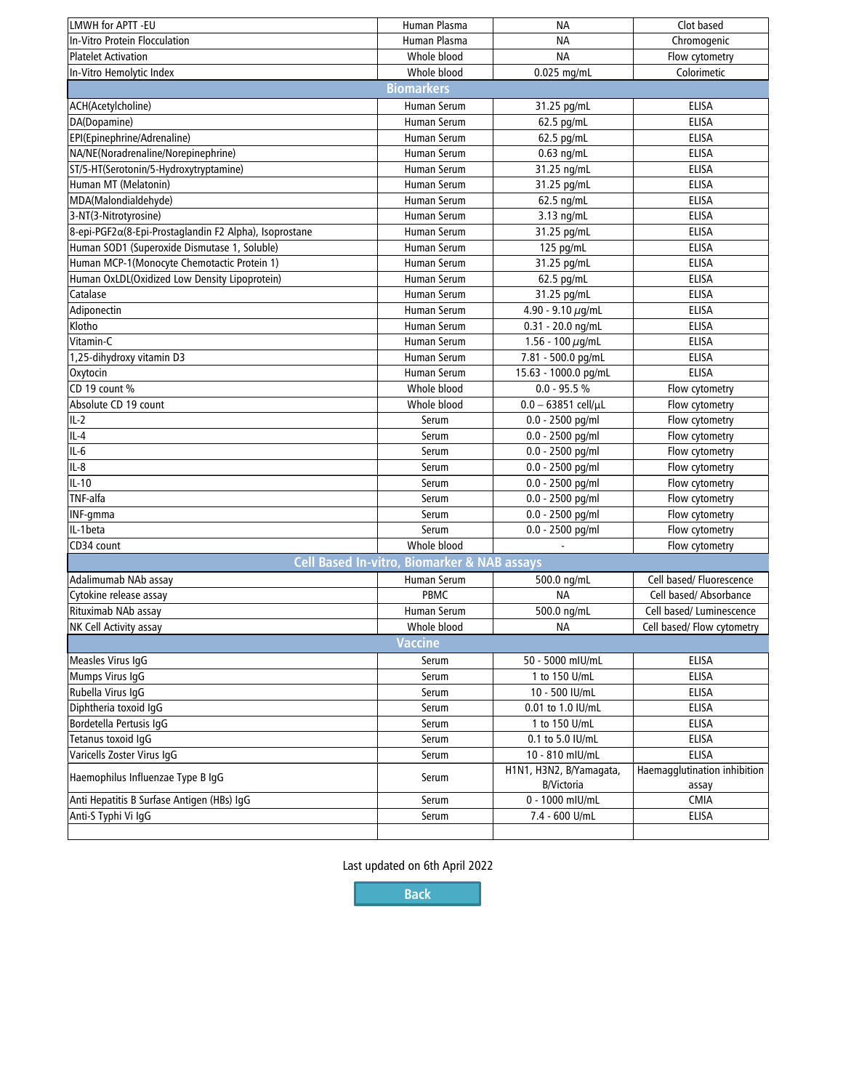| LMWH for APTT -EU                                                               | Human Plasma       | ΝA                                           | Clot based                            |  |  |  |  |  |
|---------------------------------------------------------------------------------|--------------------|----------------------------------------------|---------------------------------------|--|--|--|--|--|
| In-Vitro Protein Flocculation                                                   | Human Plasma       | <b>NA</b>                                    | Chromogenic                           |  |  |  |  |  |
| <b>Platelet Activation</b>                                                      | Whole blood        | <b>NA</b>                                    | Flow cytometry                        |  |  |  |  |  |
| In-Vitro Hemolytic Index                                                        | Whole blood        | 0.025 mg/mL                                  | Colorimetic                           |  |  |  |  |  |
| <b>Biomarkers</b>                                                               |                    |                                              |                                       |  |  |  |  |  |
| ACH(Acetylcholine)                                                              | Human Serum        | 31.25 pg/mL                                  | <b>ELISA</b>                          |  |  |  |  |  |
| DA(Dopamine)                                                                    | Human Serum        | 62.5 pg/mL                                   | <b>ELISA</b>                          |  |  |  |  |  |
| EPI(Epinephrine/Adrenaline)                                                     | Human Serum        | 62.5 pg/mL                                   | <b>ELISA</b>                          |  |  |  |  |  |
| NA/NE(Noradrenaline/Norepinephrine)                                             | Human Serum        | $0.63$ ng/mL                                 | <b>ELISA</b>                          |  |  |  |  |  |
| ST/5-HT(Serotonin/5-Hydroxytryptamine)                                          | Human Serum        | 31.25 ng/mL                                  | <b>ELISA</b>                          |  |  |  |  |  |
| Human MT (Melatonin)                                                            | Human Serum        |                                              | <b>ELISA</b>                          |  |  |  |  |  |
| MDA(Malondialdehyde)                                                            | Human Serum        | 31.25 pg/mL                                  | <b>ELISA</b>                          |  |  |  |  |  |
|                                                                                 |                    | 62.5 ng/mL                                   | <b>ELISA</b>                          |  |  |  |  |  |
| 3-NT(3-Nitrotyrosine)<br>8-epi-PGF2α(8-Epi-Prostaglandin F2 Alpha), Isoprostane | Human Serum        | 3.13 ng/mL                                   | <b>ELISA</b>                          |  |  |  |  |  |
|                                                                                 | Human Serum        | 31.25 pg/mL                                  |                                       |  |  |  |  |  |
| Human SOD1 (Superoxide Dismutase 1, Soluble)                                    | Human Serum        | 125 pg/mL                                    | <b>ELISA</b>                          |  |  |  |  |  |
| Human MCP-1(Monocyte Chemotactic Protein 1)                                     | Human Serum        | 31.25 pg/mL                                  | <b>ELISA</b>                          |  |  |  |  |  |
| Human OxLDL(Oxidized Low Density Lipoprotein)                                   | Human Serum        | 62.5 pg/mL                                   | <b>ELISA</b>                          |  |  |  |  |  |
| Catalase                                                                        | Human Serum        | 31.25 pg/mL                                  | <b>ELISA</b>                          |  |  |  |  |  |
| Adiponectin                                                                     | Human Serum        | 4.90 - 9.10 $\mu$ g/mL                       | <b>ELISA</b>                          |  |  |  |  |  |
| Klotho                                                                          | Human Serum        | 0.31 - 20.0 ng/mL                            | <b>ELISA</b>                          |  |  |  |  |  |
| Vitamin-C                                                                       | <b>Human Serum</b> | 1.56 - 100 $\mu$ g/mL                        | <b>ELISA</b>                          |  |  |  |  |  |
| 1,25-dihydroxy vitamin D3                                                       | Human Serum        | 7.81 - 500.0 pg/mL                           | <b>ELISA</b>                          |  |  |  |  |  |
| Oxytocin                                                                        | Human Serum        | 15.63 - 1000.0 pg/mL                         | <b>ELISA</b>                          |  |  |  |  |  |
| CD 19 count %                                                                   | Whole blood        | $0.0 - 95.5 %$                               | Flow cytometry                        |  |  |  |  |  |
| Absolute CD 19 count                                                            | Whole blood        | $0.0 - 63851$ cell/µL                        | Flow cytometry                        |  |  |  |  |  |
| $IL-2$                                                                          | Serum              | 0.0 - 2500 pg/ml                             | Flow cytometry                        |  |  |  |  |  |
| $IL-4$                                                                          | Serum              | 0.0 - 2500 pg/ml                             | Flow cytometry                        |  |  |  |  |  |
| IL-6                                                                            | Serum              | 0.0 - 2500 pg/ml                             | Flow cytometry                        |  |  |  |  |  |
| $IL-8$                                                                          | Serum              | 0.0 - 2500 pg/ml                             | Flow cytometry                        |  |  |  |  |  |
| $IL-10$                                                                         | Serum              | 0.0 - 2500 pg/ml                             | Flow cytometry                        |  |  |  |  |  |
| TNF-alfa                                                                        | Serum              | $0.0 - 2500$ pg/ml                           | Flow cytometry                        |  |  |  |  |  |
| INF-gmma                                                                        | Serum              | 0.0 - 2500 pg/ml                             | Flow cytometry                        |  |  |  |  |  |
| IL-1 beta                                                                       | Serum              | 0.0 - 2500 pg/ml                             | Flow cytometry                        |  |  |  |  |  |
| CD34 count                                                                      | Whole blood        |                                              | Flow cytometry                        |  |  |  |  |  |
| Cell Based In-vitro, Biomarker & NAB assays                                     |                    |                                              |                                       |  |  |  |  |  |
| Adalimumab NAb assay                                                            | Human Serum        | 500.0 ng/mL                                  | Cell based/ Fluorescence              |  |  |  |  |  |
| Cytokine release assay                                                          | PBMC               | ΝA                                           | Cell based/ Absorbance                |  |  |  |  |  |
| Rituximab NAb assay                                                             | <b>Human Serum</b> | 500.0 ng/mL                                  | Cell based/ Luminescence              |  |  |  |  |  |
| NK Cell Activity assay                                                          | Whole blood        | <b>NA</b>                                    | Cell based/ Flow cytometry            |  |  |  |  |  |
| <b>Vaccine</b>                                                                  |                    |                                              |                                       |  |  |  |  |  |
| Measles Virus IgG                                                               | Serum              | 50 - 5000 mIU/mL                             | ELISA                                 |  |  |  |  |  |
| Mumps Virus IqG                                                                 | Serum              | 1 to 150 U/mL                                | ELISA                                 |  |  |  |  |  |
| Rubella Virus IqG                                                               | Serum              | 10 - 500 IU/mL                               | ELISA                                 |  |  |  |  |  |
| Diphtheria toxoid IgG                                                           |                    | 0.01 to 1.0 IU/mL                            | ELISA                                 |  |  |  |  |  |
|                                                                                 | Serum              | 1 to 150 U/mL                                | ELISA                                 |  |  |  |  |  |
| Bordetella Pertusis IgG                                                         | Serum              |                                              |                                       |  |  |  |  |  |
| Tetanus toxoid IgG                                                              | Serum              | 0.1 to 5.0 IU/mL                             | ELISA                                 |  |  |  |  |  |
| Varicells Zoster Virus IgG                                                      | Serum<br>Serum     | 10 - 810 mIU/mL                              | <b>ELISA</b>                          |  |  |  |  |  |
| Haemophilus Influenzae Type B IgG                                               |                    | H1N1, H3N2, B/Yamagata,<br><b>B/Victoria</b> | Haemagglutination inhibition<br>assay |  |  |  |  |  |
| Anti Hepatitis B Surfase Antigen (HBs) IgG                                      | Serum              | 0 - 1000 mIU/mL                              | CMIA                                  |  |  |  |  |  |
| Anti-S Typhi Vi IgG                                                             | Serum              | 7.4 - 600 U/mL                               | ELISA                                 |  |  |  |  |  |
|                                                                                 |                    |                                              |                                       |  |  |  |  |  |

Last updated on 6th April 2022

**[Back](#page-0-0)**